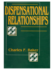

# Charles F. Baker

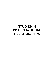## **STUDIES IN DISPENSATIONAL RELATIONSHIPS**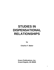## **STUDIES IN DISPENSATIONAL RELATIONSHIPS**

**by**

**Charles F. Baker**

**Grace Publications, Inc. Grand Rapids, MI 49509**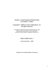## *Studies in Dispensational Relationships* by Charles F. Baker

## Copyright © 1989 by Grace Publications, Inc. *All rights reserved.*

No portion of this book may be reproduced in any way without written permission from the publisher, except for brief excerpts in magazine reviews, etc.

## ISBN 0-89814-061-7

Second printing – 1999

Printed in the United States of America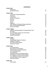### **CONTENTS**

| <b>STUDY ONE</b>                                               |                 |
|----------------------------------------------------------------|-----------------|
| Introduction                                                   | $\overline{7}$  |
| Study One Review                                               | 10 <sup>°</sup> |
| <b>STUDY TWO</b>                                               |                 |
| The Extent of Dispensationalism                                | 12 <sub>2</sub> |
| Innocence                                                      | 13              |
| Conscience                                                     | 13              |
| <b>Human Government</b>                                        | 13              |
| Promise                                                        | 14<br>14        |
| The Law<br>Grace                                               | 15              |
| Kingdom                                                        | 16              |
| Other Defects of Standard Dispensationalism                    | 16              |
| Acts 28 Ultra-dispensationalism                                | 17              |
| <b>Study Two Review</b>                                        | 17              |
| <b>STUDY THREE</b>                                             |                 |
| Subjects Specially Related to Dispensational Truth             | 19              |
| The Ages                                                       | 20              |
| The Foundation and the end of the World                        | 21              |
| The Ages and Eternity                                          | 22<br>23        |
| <b>Study Three Review</b>                                      |                 |
| <b>STUDY FOUR</b>                                              |                 |
| Prophecy                                                       | 24              |
| Two Mountain Peaks of Prophecy                                 | 24              |
| <b>Fulfilling of Prophecy</b><br>The Times of the Gentiles     | 24<br>26        |
| <b>Study Four Review</b>                                       | 27              |
|                                                                |                 |
| <b>STUDY FIVE</b>                                              |                 |
| <b>The Resurrections</b><br><b>Resurrection at the Rapture</b> | 28<br>28        |
| The First Resurrection of Prophecy                             | 30              |
| <b>The Final Resurrection</b>                                  | 30              |
| The Judgments                                                  | 31              |
| Judgment of the Old Testament Saints                           | 31              |
| The Judgment of Israel and the Nations                         | 31              |
| The Judgment of Satan and His Angels                           | 31              |
| The Great White Throne Judgment                                | 32<br>32        |
| <b>Study Five Review</b>                                       |                 |
| <b>STUDY SIX</b>                                               |                 |

| 34 |
|----|
|    |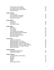| The Gospels of the Kingdom<br>The Gospel of the Circumcision<br>The Gospel of the Uncircumcision<br><b>Study Six Review</b>                                                                                                                                                          | 35<br>36<br>37<br>39                         |
|--------------------------------------------------------------------------------------------------------------------------------------------------------------------------------------------------------------------------------------------------------------------------------------|----------------------------------------------|
| <b>STUDY SEVEN</b><br>Law and Grace<br>Law and Grace as Principles<br>Law and Grace as Systems<br><b>Study Seven Review</b>                                                                                                                                                          | 40<br>41<br>42<br>44                         |
| <b>STUDY EIGHT</b><br><b>The Church</b><br>Ordinances<br><b>Study Eight Review</b>                                                                                                                                                                                                   | 46<br>48<br>50                               |
| <b>STUDY NINE</b><br>Sign Gifts<br>The Purpose<br>The Program<br>The Passing of the Program<br>Did Signs Depend upon Spirituality?<br>What Are the Sign Gifts?<br><b>What About Modern Claims?</b><br><b>Study Nine Review</b>                                                       | 52<br>52<br>53<br>54<br>54<br>55<br>56<br>57 |
| <b>STUDY TEN</b><br><b>Arguments Answered</b><br>Dispensationalism Is Divisive<br>Dispensationalism Is Not Spiritual<br>Dispensationalism Robs Us of the Word<br>Dispensationalism Is Akin to Higher Criticism<br>Dispensationalism Is a Recent Invention<br><b>Study Ten Review</b> | 58<br>58<br>59<br>59<br>61<br>62<br>63       |
| <b>STUDY ELEVEN</b><br><b>Dispensational Boundaries</b><br><b>Study Eleven Review</b>                                                                                                                                                                                                | 64<br>68                                     |
| <b>STUDY TWELVE</b><br>The Dispensation of the Mystery<br>Salvation<br>Standing<br>Supply<br>Service<br><b>Study Twelve Review</b>                                                                                                                                                   | 70<br>70<br>72<br>73<br>73<br>74             |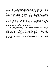#### **FOREWORD**

This series of lessons has been prepared to meet the need of the many Christians who find it impossible to attend such a school as Grace Bible College in Grand Rapids, Michigan, to further their education in the Word of God. The lessons are planned so that a person may study on his own or perhaps pursue the course in a local study group. Each lesson will be a complete unit of study with a *REVIEW* which may be used for summary purposes or for testing. A simple dispensational chart of the Bible accompanies the study (see [chart\)](#page-77-0) which will be helpful in visualizing the relationship of truth in the various divine administrations.

It is recommended that the student look up and read carefully all of the Scripture passages given, and that he come to his own conclusions whether or not each proposed truth is actually taught in the Word of God. By using these lessons merely as a guide, and by his own prayerful study, he will be able to make Bible truth his very own. He will not then be a mere peddler of secondhand truth.

The teacher's job is not merely to teach, but to so motivate the student to study that the teacher will be able to effectively communicate the truth to the student. The blessing and benefit which you derive from these lessons will depend largely upon how important you believe the subject to be. The more important you consider it, the more interested you will be; the more your interest, the more zealously you will study; the more you study, the greater will be your blessing. In view of these facts, our first lesson will seek to show you the need of such a study, how it can benefit you as a Christian, and perhaps it will help you to overcome prejudices which you may have picked up against this truth.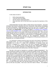## **STUDY One**

#### **INTRODUCTION**

In this study we want to:

- Define dispensationalism.
- Trace the word in the Bible.
- See the need for dispensationalism.
- Hear what other men of God have had to say about the importance of this truth.

Dispensationalism has been called a modern fad by some preachers. And some Christians have become prejudiced and have closed their minds without investigating the truth for themselves. Dispensationalism is not a FAD, but a FACT of Scripture. This is seen first of all by the reality that the Bible itself uses this word a number of times. Our English word **dispensation** - as used in the Bible in I Corinthians 9:17; Ephesians 1:10; 3:2; and Colossians 1:25 - is a translation of the Greek word *oikonomia.* This is a compound word made up of two parts*: oikos* (house) and *nomos* (law). Thus the word means literally the law of a household, or the economic principles by which a home is governed. It will be easily seen that our word economy is a transliteration of this word oikonomia. Webster defines economy as "the management, regulation, and government of a household; especially, the management of the pecuniary concerns of a household; as, it is not good economy."

It is necessary to observe that this same root word in the Greek is translated by other English words. As a noun it is translated "steward" in Luke 12:42; 16:1, 3, 8; 1 Corinthians 4:1, 2; Titus 1:7; 1 Peter 4:10; "chamberlain" in Romans 16:23; and "governor" in Galatians 4:2. Another form of the noun is translated "stewardship" in Luke 16:2, 3, 4. The *Revised Version* shows that the word "dispensation" should be read in two other passages: Ephesians 3:9 ("fellowship") and I Timothy 1:4 ("edifying"). Thus the root word occurs some twenty times in the New Testament.

But why is this word so important as a principle in biblical interpretation? The answer will become evident as we begin to examine the epistles of Paul. By reading all of the above passages it will be seen that the word when used in the Gospel records refers primarily to the pecuniary or material concern of a literal household, but when used by Paul it is concerned with God's management of His spiritual household. God has had His household of faith from the beginning of time, but the important thing for us to grasp at this point is that God has changed His rules or laws for managing His household on numerous occasions. A brief glance at the chart will help to make this plain. For example, it will be seen that the Law of Moses was added in about 1500 B.C., or at least 2500 years after man had been placed on the earth. Romans 5:13, 14 point out this fact very plainly - there was no law from Adam to Moses. And Galatians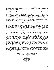3:17 indicates the Law was added four hundred and thirty years after God made an unconditional promise to Abraham, and therefore the law which came later could not annul the earlier promise.

What makes dispensational truth so very important to us under God's present order will also clearly be seen from the [chart.](#page-77-0) Paul calls the present order the dispensation of the Mystery (Ephesians 3:9; Colossians 1:25). He calls it this because God's household and the laws governing His house for today were kept by God as a mystery (secret) from all past ages and generations. This truth was first made known to Paul. So while all of the Bible is the inspired, infallible Word of God, and all is very necessary for us to know, only that which we find in Paul's writings is specifically for the church of this dispensation, which is called the Body of Christ.

It may appear to some that God would not have confused things by so placing through the Bible His instructions for a number of different dispensations. We may not be able to explain why God has done everything as He has, but we do know that God foresaw this danger and had Paul write down a very important principle for us. He tells us in 2 Timothy 2:15: "Study to show thyself approved unto God, a workman that needeth not to be ashamed, rightly dividing the Word of Truth." Rightly dividing means simply to observe distinctions like those we have been noting.

It might help us to observe that the principles of dispensationalism are common to much of our everyday life. The political economy of our government changes from time to time. Often a new administration brings in sweeping changes in government. This land was once ruled as an English colony. Then it became independent and has been under the control on and off of both major political parties. Some things which were lawful under the Hoover administration were illegal under that of Roosevelt. Business houses are departmentalized. No sales manager would think of telling his sales force to carry out a directive from the President of the company which was addressed to the bookkeeping department. Members of a household may share their letters with one another, but if a letter contains a promise or a bill, the reader is careful to observe whether or not the letter is addressed to him.

Miles Coverdale, the English Bible scholar who died in 1569 and who possesses the distinction of being the first one to translate the entire Bible into English, saw the necessity of applying this principle when studying the Bible. He wrote a most perceptive prescription for sincere Bible students:

> *It shall greatly help ye to understand Scripture if thou mark not only what is spoken or wrythen, but of whom and to whom, with what words, at what time, where,*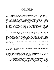*to what intent, with what circumstances, considering what goeth before and what followeth after.*

It would be hard to improve on this 400-year-old advice!

Suppose you should ask, "Does God have any instructions for us on the kind of food He wants us to eat?" You scan through your Bible and come up with the following verses. Genesis 1:29 tells you God gave every herb and the fruit of every tree for man's food. And Genesis 9:3 says, "Every moving thing that liveth shall be meat for you; even as the green herb have I given you all things." But then you come to Leviticus 11 and discover some animals are unclean and are strictly forbidden, and that certain tests must be applied to animals, fish, and birds to determine whether they are clean or not. Then you run across 1 Timothy 4:4, 5 and hear Paul saying: "For every creature of God is good, and nothing to be refused, if it be received with thanksgiving: for it is sanctified by the word of God and prayer." Now which of these instructions would you follow? It is evident that you could not at one and the same time eat only vegetables, eat all kinds of animal meat without discrimination, and eat only the meat of clean animals.

These commands would appear to be contradictory, and apart from a dispensational division of the Bible we would just have to explain away everything except that which we took a fancy to follow. But when we understand the first command was to man in Eden before sin entered the world; that the second was to Noah after the Flood when climatic conditions were changed and man was spread abroad; that the third was under the Law of Moses to the people of Israel; and that the fourth was written by Paul to the Christian for today, all of difficulty disappears. Dr. C. I. Scofield states a very important dispensational fact in his footnote on page 1252 of his original edition *Reference Bible:*

In his [Paul's] writings alone we find the doctrine, position, walk, and destiny of the church.

If we know this, it is not difficult to decide which of the above commands on food should apply to ourselves.

Since it is always reassuring to have our own convictions confirmed by other men of God, we want to conclude this study by quoting from a few outstanding teachers of the Word. We have already mentioned Miles Coverdale and Dr. C. I. Scofield. Here is what Dr. Lewis Sperry Chafer wrote in *Major Bible Themes:* 

It is probable that the recognition of the dispensations sheds more light on the whole message of the Scriptures than any other aspect of Bible study. Often the first clear understanding of the dispensations and God's revealed purposes in them results in the beginning of useful Bible knowledge and in the fostering of a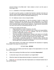personal interest in the Bible itself. Man's relation to God is not the same in every age (p. 96).

Dr. A. C. Gaebelein in *The Gospel of Matthew* says:

It is safe to say that a person, no matter how learned or devoted, who does not hold the clearly revealed dispensational truths concerning the Jews, the Gentiles and the church of God, will fail to understand Matthew (p. 4).

Dr. I. M. Haldeman wrote in *How to Study the Bible:* 

To confound these dispensations, to take the principle of action, to ignore the classes of persons and the peculiar aim of each dispensation is to produce confusion, contradiction, and lay the foundation for that disharmony which reigns all too manifestly today among Christian expositors. Dispensational classification can alone save truth from contradicting itself (pp. 19, 51).

To sum up our study we have seen:

- Dispensationalism is a fact of Scripture, not a fad.
- A dispensation is the divine ordering of man's conduct and responsibilities.
- During the ages past, as our [chart](#page-77-0) indicates, God has on numerous occasions changed His spiritual economy.
- This same principle of dispensational change is seen about us in all walks of life, and therefore the idea itself is very common and basic. It is not too strange, therefore, to find the principle at work in the spiritual realm.
- This principle is especially important for Christians today, because the present dispensation was hitherto kept as a strict secret and was revealed only through Paul, the apostle to the Gentiles.

Many great teachers of the Bible have emphasized the importance of applying this principle in the study of the Word of God.

#### **S T U D Y One** *- REVIEW*

1. What is the most evident proof that the subject of the dispensations is not a fad but a fact of Scripture?

2. What is the meaning of the Bible word that is translated **dispensation**?

3. In what other ways is this word rendered in our English Bible?

4. What fact makes the dispensational principles so important for us today?

5. Study the [chart](#page-77-0) and state what other dispensations are indicated besides that of Law and the Mystery.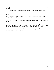6. In light of I Timothy 4:1-5, why do you suppose some Christian sects forbid the eating of pork?

7. Read Leviticus 11 and state what constituted a clean animal under the Law.

8. What part of Miles Coverdale's statement is especially fitted to dispensational principles?

9. According to 2 Timothy 2:15, what will characterize the workman who fails to rightly divide the word of truth?

10. Can you think of any reason why some churchmen would oppose dispensational teaching?

11. Would we not be better off if we eliminated from our Bibles everything except that which is addressed to the Body of Christ today? In other words, what good to us are those parts which refer to God's dealings with the Jews and others in past ages?

12. Can you think of some other illustrations from everyday life which show how we apply dispensational principles in our secular life?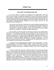## **STUDY Two**

#### **THE EXTENT OF DISPENSATIONALISM**

In our first study we learned the meaning of the dispensations and saw something of the need for recognizing dispensational truth in Bible study. We quoted from a number of Bible scholars who confirmed our assertion that the Bible becomes confusing and contradictory to those who do not apply the dispensational principle. Of course, all Christians recognize the dispensations to some extent. However, the *Funk and Wagnall's Standard Dictionary* definition of the term states more truth on this subject than many theologies do:

One of the several systems or bodies of law in which at different periods God has revealed his mind and will to man, or the continued state of things resulting from the operation of one of these systems: as, the Mosaic dispensation. The period during which a particular revelation of God's mind and will has been directly operative on mankind; as, during the Christian dispensation.

We may safely say that practically all Christians recognize the two dispensations mentioned in the dictionary: the Mosaic and the Christian; the Old and the New; Law and Grace. To go no further than these two dispensations, however, leaves much of the Bible unaccounted for. Since the "Mosaic dispensation" began about 1500 B.C., we have about 2500 years of revealed history before that time to account for. And since there will be a millennial kingdom following the "Christian dispensation," we have another 1000 years to take into account. Recognizing but two dispensations results in a very inadequate and faulty system of interpretation.

The general run of dispensationalists recognizes seven dispensations. The view is fully developed in the *Scofield Reference Bible.* It will be seen that these seven dispensations appear on our [chart.](#page-77-0) They are usually identified as Innocence or Edenic, Conscience, Human Government or Authority, Promise, Law, Grace or Mystery, and Kingdom.

However, it will be seen there are a number of defects in this commonly accepted system. In the first place the impression is left that Conscience operated only from the fall of man to the Flood, and that Human Government lasted only from the Flood to the call of Abram, or that Promise lasted only from the call of Abram to Moses. Our [chart](#page-77-0) is designed in such a way as to show how these dispensational features *continue*  throughout other dispensations. Conscience, Human Government, and Promise especially characterized the periods in which they are shown on the chart, but are not exclusive to these periods, just as Grace especially characterizes this present period, although the principle of Grace has been in operation in all dispensations since the Fall.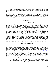#### **INNOCENCE**

Let us briefly study the special characteristics of each of the dispensations and see to what extent, if any, principles carry over into the following dispensations. The first dispensation is called Innocence because man as yet had not sinned. It is sometimes called the Edenic dispensation because man was still in Eden. Since man had done no evil, his conscience had not yet emerged - at least in its complete manifestation. His actions could only be approved. Since we think of conscience mainly as that which condemns wrong acts, we can say that conscience was born when man committed sin.

#### **CONSCIENCE**

The second dispensation, following man's fall, we therefore call Conscience. It is evident the principle of Innocence does not carry over into the following periods. While we may speak of an infant as innocent, or of a man not guilty of a specific crime as innocent, the fact is the whole race sinned in Adam. This makes us all, regardless of our age, guilty of the race-sin. For this reason Christ's death is just as necessary for the salvation of infants as for hardened criminals. But while Conscience especially characterized the period until the Flood, our [chart](#page-77-0) shows the principle of Conscience remains active and runs throughout the remaining dispensations. Man's responsibility in these subsequent periods is modified by the further revelations of God's Word. It is interesting to note that the word "conscience" does not appear once in the thirty-nine books of the Old Testament. Conscience is a Greek word, and of course the Old Testament was written in Hebrew. The idea, however, is expressed in the Old Testament by such an expression as "David's heart smote him" (I Samuel 24:5). We read more about conscience in Paul's writings than any other place in the New Testament. Out of the thirty-two times it occurs, Paul uses it twenty-nine times. Thus we see that Conscience is still a very important principle in this dispensation of Grace.

#### **HUMAN GOVERNMENT**

The dispensation following the Flood is called Human Government because God here first committed into man's hand the power of capital punishment. This authority is the basis of human government. Unless organized society has the power to limit the individual's freedom and punish him for wrongdoing, anarchy is the only alternative. Before this time God did not permit man to put a murderer to death (Genesis 4:14, 15). Now God commands that the shedder of blood be put to death (Genesis 9:6). This basic authority of human government has never been rescinded in Scripture, and so on our chart we can trace the line from the dispensation of Human Government across the top all the way to the Second Advent of Christ. He, of course, will bring perfection to human government during the millennial kingdom. Isaiah 9: 6, 7 states:

The government shall be upon His shoulder ... of the increase of His government and peace there shall be no end, upon the throne of David, and upon his kingdom, to order it, and to establish it with justice from henceforth even for ever.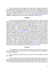After the Flood, God also changed man's dietary laws. Apparently because of changed climatic conditions and the fact that man was to be scattered over the face of the earth, making it impossible for him to live on just fruits and vegetables, God told man: "Every moving thing that liveth shall be meat for you; even as the green herb have I given you all things" (Genesis 9:3). As we saw in our first study, this principle was modified for Israel under the Law, but in the present dispensation there are no restrictions whatsoever on diet as far as God is concerned (I Timothy 4:3-5).

#### **PROMISE**

Let us next look at the dispensation of Promise on the chart. After the human race went into universal idolatry, God called out one man, Abram, and made a promise to him which, when fulfilled, would result in universal blessing for all nations. It is most important to see that this section is in two divisions on the [chart.](#page-77-0) The first concerns Abram in uncircumcision, and it will be seen that this section turns and runs across the bottom of the chart. The arrows show that Gentile blessing today, as well as in the millennial kingdom, is based upon the promise to Abraham's seed. There is, however, this great difference. Gentile blessing today is not the fulfillment of the Abrahamic covenant, as will be the case in the Millennium. Paul's ministry concerned the mystery of the gospel. Paul shows in Galatians 3:16 that Gentile blessing today is not through Abraham's multiplied seed (the nation of Israel), but through the one seed, which is Christ. The blessing of the nations under the Abrahamic covenant depends upon the prior blessing and establishment of the nation Israel. Therefore, by referring to the chart it will be seen that the second division concerns Abraham (his name was changed from Abram) in circumcision. This division continues across the top of the chart with the inscription, "I will make of thee a great nation." The name Abraham means the father of many nations. Under the covenant of circumcision, Abraham's nation - with the promise of the land of Canaan - comes into prominence (Genesis 17:1-14). As will be seen from the arrows on the chart, the promise had partial fulfillment in Old Testament times, and was offered to Israel at Pentecost and thereafter (Acts 3:25, 26). Israel rejected the offer then, but in the coming Millennium the promise will be fully realized.

#### **THE LAW**

The dispensation of the Law began with Moses as the Law-giver in Exodus 19. The Law consisted of three parts: (1) The Ten Commandments, (2) The Judgments, and (3) The Ordinances.

This God-given Law governed the moral, political-social, and religious life of the nation Israel.

When we talk about THE Law in the Bible, we mean the entire Law of Moses, not merely a part of it, like the Ten Commandments. Only the nation of Israel had the Law. Paul says the Gentiles (all other nations excluding Israel) have not the Law (Romans 2:14). There was a time before Moses when there was no Law. In fact, there were at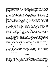least 2500 years of recorded human history when there was no Law. This does not mean nations and tribes during that time made no rules for governing themselves, but that God had not by revelation codified a system of written laws. Paul says Christians today are not under the Law, but that does not mean we are not under the manmade laws of our government. It means we are not under the Law of Moses.

The dispensation of the Law occupies the greater portion of the Bible - from Exodus 20 to the end of the four Gospels. There is not a line of the Old Testament in the book of Genesis. Abraham lived under the dispensation of Promise. Then 430 years later "the Law was added because of transgressions," that is, to make sin a transgression of Law (Galatians 3:17-19). The Law was not given as a means of saving people, but of convincing them they were transgressors and needed to come to God and receive the salvation which He provides. Thus "the law worketh wrath: for where no law is, there is no transgression" (Romans 4:15).

That the Law dispensation was temporary is seen in the fact that it "was added *until* the seed [Christ] should come" (Galatians 3:19). The Law did not end with the birth of Christ, for He was "made of a woman, made under the law" (Galatians 4:4). It was His death which completely fulfilled all the legal requirements of the Law which brought it to an end. Christ "abolished in His flesh the enmity, even the law of commandments contained in ordinances" (Ephesians 2:15). He blotted out "the handwriting of ordinances that was against us, which was contrary to us, and took it out of the way, nailing it to his cross" (Colossians 2:14).

Although the Law ended legally with the death of Christ, this fact was not revealed immediately to the apostles, for we find these Jewish followers of Jesus were still practicing the Law of Moses in the Temple all during the period of the Acts: "They are all zealous of the Law" (Acts 21:20). Although they were practicing the Law, they were not trusting in the Law as a means of salvation. They were preaching repentance and baptism in the name of Jesus Christ for the remission of sins (Acts 2:38).

Neither is there salvation in any other: for there is none other name under heaven given among men, whereby we must be saved (Acts 4:12).

It is important to understand the death of Christ not only brought the Law system to an end, but the shedding of His blood instituted the New Covenant or Testament. Thus the New Testament does not begin with the four Gospels, but rather with the end of those historic accounts.

#### **GRACE**

Historically, the dispensation of Grace began with the separation of the apostle Paul to the ministry for which God had called him, although doctrinally it is based upon the death and resurrection of Christ. But there was a historic period between the Cross and the separation of Paul when the gospel of the Kingdom was being preached to the Jews only. God had promised to send Jesus back to establish the Millennium if the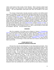nation would repent of their murder of their Messiah. When it became evident Israel would not repent, God introduced His new, previously unrevealed dispensation of the Mystery. This new dispensation would place both Jews and Gentiles on the same footing.

This change of dispensation naturally presented a problem to the faithful Jewish believers in Jerusalem, for up to this point they had been living under the Law of Moses. They contended that Gentiles could not be saved without first being circumcised after the manner of Moses (Acts 15:1-6; compare with 21:21). A conference was finally held at Jerusalem to settle this problem. The Jerusalem church placed its approval upon Paul's Gentile ministry, but there was a period of transition during the latter half of Acts during which the spiritual program for believers became normalized. Then after the leaders of Israel tried to kill Paul, and thereafter Paul was taken to Rome as a prisoner, God pronounced blindness upon Israel (Acts 28:25-28; compare Romans 11:7-36). In this latter passage Paul declares this blindness of Israel is not permanent, but will last only until "the fullness of the Gentiles be come in," that is, until the Body of Christ shall be completed. After that, "all Israel shall be saved."

#### **KINGDOM**

After the completion of the Body and its Rapture to heaven (I Thessalonians 4:13-17), God will bring Israel through its time of "great tribulation" (Matthew 24:21), and then Christ will return to earth to judge the nations (the Gentiles) and restore the Kingdom to Israel (Acts 1:6). This Kingdom will last for 1000 years (Revelation 20:4-6). After that will come the eternal stage of God's Kingdom (I Corinthians 15:24-28), which Paul calls the "dispensation of the fullness of times" (Ephesians 1:10), when God has gathered together in one all things in Christ, both which are in heaven, and which are on earth; even in HIM.

#### **OTHER DEFECTS OF STANDARD DISPENSATIONALISM**

We have thus seen the interrelationship of a few dispensational principles. More of these will become evident in future studies. But before concluding this study we want to look at some other defects of the generally accepted dispensational scheme. Very few charts or studies take into account the transitional character of the period covered by the book of Acts. This is actually the most important part of dispensational study as it concerns us today. It is the skimming over of these differences and distinctions, and beginning a new dispensation with a sharp break off at Pentecost, that has caused so much confusion in the church today. In the commonly held seven dispensations scheme, Law is shown as ending either at the Cross or at Pentecost, and the new dispensation of Grace beginning at Pentecost. As we shall see in a future study, this is a serious error, one which has been called the great blunder of the church. It confuses the Kingdom and the Body of Christ. It negates the whole idea of "the mystery" which was revealed by God through Paul. It opens the gates for the flood of Pentecostal fanaticism which has overflowed the church and has left the church without a scriptural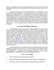answer. By studying the chart from Pentecost onward it will be seen that in this chart the scriptural distinctions have been made which are necessary for the right division of the Word.

Another shortcoming of customary dispensationalism is the omission of one of the most important dispensations. Most charts end with the dispensation of the Most charts end with the dispensation of the Kingdom and never even refer to "the dispensation of the fullness of times" which is clearly labeled in Ephesians 1:10. This is shown on our chart as the eighth and last of the dispensations of God. The number eight is significant in this respect, as it speaks of a new beginning after a complete cycle, just as Sunday, the first day of the week, is actually the eighth day, following the complete cycle of seven days. In the dispensation of the Fullness of Times, God will head up all things in Christ, both which are in heaven and on earth. This will be the new heaven and the new earth, wherein dwelleth righteousness. As far as Scripture reveals, it will be the final state of all the redeemed of all ages.

#### **ACTS 28 ULTRA-DISPENSATIONALISM**

In concluding this study on the extent of dispensationalism, we must mention what is generally called ultra-dispensationalism. This view does not necessarily create a greater number of dispensations, but it holds that the present dispensation of the Mystery which concerns the Body of Christ did not begin until after Acts 28. It makes Paul to share with the twelve apostles all during the Acts period the ministry of the messianic Kingdom message. It divorces believers today entirely from any of the spiritual blessings of the New Covenant, and therefore rules out the practice of the Lord's Supper. It denies that we today are children of Abraham in the sense Paul speaks of this in Galatians 3:29. It denies that we today have any relationship with Christ as a great High Priest and Advocate at the right hand of God. It teaches that Paul's pre-prison epistles (Romans, I & 2 Corinthians, Galatians, I & 2 Thessalonians, Titus, and I Timothy) are not addressed to members of the Body of Christ. We believe this teaching is a more serious error than the one we alluded to above as the great blunder of the church.

The important thing is not the names by which the dispensations are called or the number which may be shown on a chart. It is rather to make all of the distinctions which the Scriptures make. To refuse to go as far as the Scriptures do results in a subdispensationalism. To go beyond what the Scriptures teach results in ultra- or hyperdispensationalism. Our desire is to have a scriptural dispensationalism.

#### **S T U D Y Two** *- REVIEW*

- 1. What two dispensations do all Christians recognize?
- 2. Which dispensations preceded what is generally called the "old" dispensation?
- 3. According to the chart, what dispensations will follow after the present one?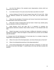4. List all of the defects of the standard seven dispensations scheme which are pointed out in this study.

5. Is an infant innocent in the same sense that Adam was before he sinned?

6. Look up Hebrews 9:9 and 10:2 and compare these with 9:14 and 10:22. What was the difference between the conscience of one under Law and another under Grace?

7. Show how the principles of Conscience and Human Government extend beyond the dispensations which bear these names.

8. What other change of dispensation did God make in Noah's day, besides giving man the authority to rule over his fellow man?

9. Read Romans 4:9-12 and state why it is important to recognize the dispensational distinctions between Abram before Genesis 17 and Abraham after that time.

10. Would it be proper to say that God today is fulfilling the Abrahamic covenant in blessing the Gentiles? What must happen to Israel before this covenant can be fulfilled upon the Gentiles?

11. Compare Acts 3:24 with Ephesians 3:1-9 and state why it is a mistake to begin the dispensation of the Mystery at Pentecost.

12. What is the name of the final dispensation, and what will take place at that time?

13. What is the distinguishing teaching of ultra-dispensationalism?

14. If the present dispensation did not begin with Peter at Pentecost, nor after Acts 28, where do you feel it did begin? A careful study of the chart will help to answer this question.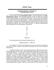## **STUDY Three**

#### **SUBJECTS SPECIALLY RELATED TO DISPENSATIONAL TRUTH**

There is a great deal of truth in the Bible which is not dispensational in character. This type of truth may be called **DOCTRINAL TRUTH** in order to distinguish it from **DIS**-**PENSATIONAL TRUTH.** The unchanging attributes of God, the nature and character of God, and the principles of morality are of this nature. However, the word "doctrinal" is not the best word to use in this connection. Doctrine means teaching, and since we have teaching concerning the dispensations, we can and do speak of the doctrine of the dispensations. Probably one of the best distinctions between these two types of truth is that used by Cornelius R. Stam in his *Things That Differ.* He speaks of dispensational truth which differs from one dispensation to another as:

> **V E R T I C A L**

#### **T R U T H**

Truth remaining the same through all dispensations is:

#### **H O R I Z O N T A L T R U T H**

The metaphor of a vertical line indicates that a new truth has been injected into the course of events, whereas a horizontal line indicates truth which runs through all dispensations.

A careful examination of the chart accompanying these studies will show that a further qualification must be made. Some dispensational truths take on more or less of a horizontal character. In other words, they may run through several dispensations. The subjects of human government, conscience, promise, and grace are of this character. In fact, it is almost impossible to strictly separate and classify all of the teachings of the Bible into these two distinct categories. Almost any doctrine we might consider has some dispensational relationships. That is why we cannot rightly understand any subject in the Bible apart from dispensational truth. Take even the doctrine of the Godhead; if there is any unchanging truth, this is surely it. Jesus Christ is the same yesterday, today, and forever. And yet, the incarnation of the Son of God surely brought about a change. Before His human birth He did not possess a human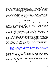body and a human nature. After His death and resurrection He had a glorified body which was different from the natural body in which He lived on earth. In His divine nature He did not change; in His human nature He did. In His manifestation, ministry, and message He has surely changed. Unless these changes are taken into account, we will never understand the doctrine of Christology in the Bible.

It will be our plan to devote several studies to subjects which are specially dispensational in character. The following will be dealt with in order: The Ages, Prophecy, The Times of the Gentiles, The Resurrections, The Judgments, The Gospels, Law and Grace, Israel and the Body of Christ, Ordinances, and Sign Gifts.

#### **THE AGES**

An age is a period of time, usually of considerable duration. Ages and dispensations are not synonymous. Dispensations are sometimes erroneously defined as periods of time. There is no time element actually present in the word, although it is true that dispensations cover periods of time, just the same as everything that takes place in this universe involves a period of time.

The Bible speaks of ages in the plural, and of specific ages. There may be several distinct dispensations in one age. For example, when Paul speaks of "this present evil age" in Galatians 1:4, we cannot limit his words to this present dispensation, for evil has characterized time since sin came into the world.

The truth concerning the ages has been obscured somewhat by the translations found in our King James Version. Very often the original word for age has been translated by the word "world," as it is in the passage just referred to. There are three different Greek words translated world. One means the inhabited part of the earth, another means the order or system of the world, and the third, the world in its duration. This is the word "age" or *aion,* usually spelled eon in English. The following is a list of passages where the word "world" should be rendered age:

Matthew 12:32; 13:22, 39,40,49; 24:3; 28:20; Mark 4:19; 10:30; Luke 16:8; 18:30; 20:34, 35; Romans 12:2; I Corinthians 1:20; 2:6-8; 3:18; 2 Corinthians 4:4; Galatians 1:4; Ephesians 1:21; 6:12; 1 Timothy 6:17; 2 Timothy 4:10; Titus 2:12; Hebrews 1:2; 6:5; 9:26; 11:3.

There are a number of passages where the translators have rightly translated this word as age or ages. Ephesians 2:7: "That in the ages to come he might shew the exceeding riches of his grace in his kindness toward us through Christ Jesus." Also in Ephesians 3:5 Paul refers to the Mystery "which in other ages was not made known unto the sons of men." The same fact is stated about the Mystery in Colossians 1:26: "Even the mystery which hath been hid from ages and from generations, but is now made manifest to his saints."

Let us now look at a passage or two where the meaning has been obscured by a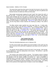faulty translation. Matthew 13:39, 40 states:

The enemy that sowed them [the tares] is the devil; the harvest is the end of the world; and the reapers are the angels. As therefore the tares are gathered and burned in the fire; so shall it be in the end of this world.

Most people unconsciously suppose the word "world" here means the earth, or life upon the earth. To them the end of the world might be an atomic chain reaction which would annihilate life from this planet or atomize the planet itself. When it is understood our Lord actually was speaking of the end of the age, His meaning becomes clear. Following the end of the present age there is to be another age upon the earth, which we call the Kingdom or millennial age. Hebrews 6:5 refers to this as "the *age* to come," but the King James Version obscures the meaning by calling it "the *world* to come."

The Bible nowhere states explicitly how many ages there are. It makes plain, however, that the ages or time did have a beginning. It speaks of God's plans and purposes before the ages began (I Corinthians 2:7). God is a timeless Being. Time is part of the creation of God. The present age is an evil one (Galatians 1:4). Satan is called the god of this age (2 Corinthians 4:4). This present age will end after the Rapture of the Body of Christ and after the subsequent period of Tribulation. The Second Coming of Christ as King will end this age and begin the age to come. It will endure 1000 years (Revelation 20:4). This will be followed by the final judgment and the age of the new heavens and the new earth (2 Peter 3:13). As far as the Bible reveals, this will be the final age.

#### **THE FOUNDATION AND THE END OF THE WORLD**

These two interesting statements occur in Hebrews 9:26:

For then must he often have suffered since *the foundation of the world:* but now once in *the end of the world* hath he appeared to put away sin by the sacrifice of himself.

The apostle used two different words for 64 world" in this passage. More literally, the first statement is - from the casting down of the cosmos. The second is - upon the consummation of the ages.

The cosmos is the ordered world or universe. The Scripture seems to indicate that when sin entered the universe through Satan, God cast down the world in judgment and plunged it into the chaotic condition of Genesis 1:2. Since a foundation is something which is cast down before the building is erected, others think the apostle means the foundation of the cosmos. However, since the cosmos is not simply the physical earth, it is doubtful just what the foundation of the cosmos means. The casting down or the overthrow of the original order of creation is much more intelligible.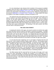It is very interesting to note whereas God's revelation of His purpose to establish a kingdom upon this earth is often referred to as being prepared or predicted from the casting down of the cosmos (Matthew 25:34; Acts 3:21), His purpose with the Body of Christ in this dispensation of the Mystery is said to be from *"before* the casting down of the cosmos" (Ephesians 1:4; Romans 16:25; 2 Timothy 1:9). Simply stated, this means the Kingdom is the subject of prophecy, whereas the Mystery is not.

The statement that Christ appeared once in the consummation of the ages to put away sin seems to say Christ's first coming put an end to the ages. This, of course, is not true, for this same epistle speaks of the age yet to come. What this Scripture means is that Christ's work upon the cross consummated everything that had been predicted in the past ages regarding the provision of salvation from sin. In other words, His death fulfilled all of the types and shadows which had been given in previous ages. The Cross was a great consummation. All blessings of the past, present, and future find their basis in that great provision.

#### **THE AGES AND ETERNITY**

In studying the doctrine of the ages, one must be careful not to fall into the subtle error which has been used as a basis for the belief in universal reconciliation. The Bible expressions "for ever" and "for ever and ever" are usually the translations of the phrases "for the ages" and "for the ages of the ages." It is argued that just as the ages had a beginning, so they will have an end. And since the punishment of the wicked is only for the duration of the ages, their punishment must also needs come to an end. This would mean all of the unsaved would then be reconciled to God after the ages have ended.

It is true that time had a beginning, but it is not taught in Scripture that time will have an end. God's creation consists of space, matter, and time. The Scriptures teach that God is going to preserve His creation indefinitely. As long as He does, there will be time. Therefore the ages cannot end in the sense that time will cease, unless God wipes out creation entirely, and that would mean mankind would be annihilated. The final age of the new heavens and the new earth appears to be an age which will continue indefinitely into the future. The only way the human mind can grasp the idea of eternity is to think of it as time extended indefinitely. Hence it is that the Bible uses the word "age," which means "time," to describe eternity or everlasting existence.

The Bible teaches that the saved will live for the ages of the ages, and it uses exactly the same terminology to describe the duration of the punishment of the unsaved. It may be the fond hope of humanity that all will finally be saved, regardless of how they have lived or of what they have done with Christ, but the Scriptures just do not hold out any such hope. If the child of God has eternal life, then the unsaved must have everlasting punishment.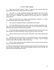#### **S T U D Y Three -** *Review*

1. What does the word "doctrine" mean? In what way does doctrine differ from dispensational truth, and in what way are the two similar?

2. How does C. R. Stam distinguish between dispensational truth and the truth which is basic to all dispensations? What Modification must we make in classifying some truth which is definitely dispensational and yet also basic to a number of dispensations?

3. What fact about Bible truth makes dispensationalism important to a proper understanding of almost every subject of doctrine?

4. How would you distinguish between a dispensation and an age?

5. The study stated there are three words in the New Testament translated "world." The Greek word for the inhabited world*, oikoumene,* was not mentioned in the study. Which two were mentioned and what do they mean?

6. Find some Scripture statements from the study which prove there has been more than one age in the past and that there will be more than one age in the future.

7. What is meant by the end of the world? When will it occur? What will follow this event?

8. Will there ever be a time when time or the ages will cease? Look up Revelation 10:6 and state what this means, "there should be time no longer." See the *Revised Version* or some other translation or Bible commentary.

9. How is it that a word which means a period of time can also be used to describe eternity, or that which will never end?

10. Study the dispensational chart and indicate the point at which the present age ends and the age to come begins. What events will happen before the end of the age, and what events will transpire after this event?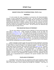## **STUDY Four**

#### **SUBJECTS RELATED TO DISPENSATIONAL TRUTH, Cont.**

#### **PROPHECY**

To some people the study of prophecy is synonymous with dispensationalism. Actually, it is just a small part of dispensational truth. The main reason why unfulfilled prophecy is dispensational is that it has to do largely with the coming time of the Great Tribulation and the millennial kingdom. As a matter of fact, one of the very important dispensational distinctions is between prophecy and the Mystery, between that which had been foretold by all the prophets since the world began, and that which was kept secret from before the foundation of the world. The first concerns the millennial kingdom and the latter the Body of Christ.

#### **TWO MOUNTAIN PEAKS OF PROPHECY**

The two main subjects of prophecy are the sufferings of Christ and the glory that shall follow (1 Peter 1:11). Christ reminded the disciples of this fact after His resurrection (Luke 24:26, 27, 44). Peter made this fact the basis of his great sermon in Solomon's porch (Acts 3:17-26). It is evident from this passage and from Acts 2:16 that Peter was preaching prophecy in the early chapters of Acts, and not the Mystery. Since the Mystery concerns the Body of Christ, it is also evident that Peter was preaching the Kingdom message and not the truth about the Body. It is important to remember there is a prophesied church (Acts 2:47; Hebrews 2:12), as well as the church of the Mystery. Peter was here ministering to the church of prophecy.

Peter's message to Israel in early Acts was that all of the prophecies concerning the sufferings of Christ had been fulfilled, so all that now remained was the coming back of Jesus Christ to restore all things in the millennial kingdom. He told Israel if they would repent and be converted, God would send Christ back (Acts 3:19-21). However, we know the nation did not repent. God sent judicial blindness upon the nation and then called out a new apostle for a new dispensation. In ushering in this new dispensation of the Grace of God, He temporarily set aside the prophetic kingdom program, or as some like to put it, He stopped the clock of prophecy. God's present day program is not part of the prophesied truth contained in the Old Testament and the Gospels, but is unprophesied and is contained in the special revelation which Christ gave to Paul.

#### **FULFILLING OF PROPHECY**

Knowledge of the simple facts just mentioned should guard Christians against two modem errors. The first is the idea that Bible prophecy is being fulfilled today. The other is that the Body of Christ is going to go through the Tribulation. If the clock of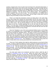prophecy stopped when God set aside Israel and began this unforetold dispensation, it should be evident that the clock will not start running again until God is through with this dispensation and until He takes up His dealings again with Israel. There has been a great deal of worthless speculation about so called signs of the times and the supposed fulfillment of prophecy. This has served only to confuse people. The predictions of modem "prophets" have not come to pass. The next prophecies to be fulfilled will be during the Tribulation which has not yet begun, and we hope to show that it will not begin as long as the Body of Christ is here on earth.

There is no doubt that momentous events are taking place in the earth today. We see many things which indicate the consummation may be very near at hand. But we believe Jesus Christ, according to the Word of God, cannot come back to earth until first the Rapture of the church has taken place and until the seven years of Tribulation have run their course. We may feel the Rapture is very near, and we believe it could take place at any time, humanly speaking, but no one can know the exact time for certain. If it is very near, no doubt the political scenes are now being set for the Great Tribulation and the fulfillment of all of the prophecies connected with that event and with the Second Advent of Christ as King of kings.

Since the Tribulation is one of the most prophesied biblical events, and the Body of Christ is not prophesied at all, it would appear very unreasonable to suppose the Body will go through the Tribulation period. The Body of Christ is not at all concerned with the events of the Tribulation. It is not that Christians are promised immunity from persecution; they are plainly told they will suffer persecution if they live godly in Christ Jesus. But such suffering as Christians have endured all during this present age is an entirely different thing from the distinct period of seven years which is called "the time of Jacob's trouble" (Jeremiah 30:7). The Tribulation is a unique period during which the nation of Israel will be more severely persecuted than at any previous time.

There are in Paul's epistles what might be called prophecies concerning the Body of Christ. He tells us about the Rapture at Christ's coming for the Body and he gives us some of the characteristics of the last days of the Body here on earth (I Timothy 4:1-6; 2 Timothy 3:1-13). This fact should not be confused with what we have been talking about previously. We have distinguished between prophecy and the Mystery. In the revelation of the mystery there are certain predictions about the Body of Christ which are all a part of the Mystery.

One other point needs to be mentioned, and that is what is called the gift of prophecy (I Corinthians 12:10, 28; 14:1-40). Before the church had a written New Testament Scripture, God gave to several men in each assembly the gift of prophecy. These men prophesied in the sense that they spoke forth God's message. They did not foretell the future. This gift was of a temporary nature and was to pass away along with the other sign gifts (1 Corinthians 13:8-10). This subject will be considered more in detail under the subject of the sign gifts.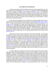#### **THE TIMES OF THE GENTILES**

Another main subject related to dispensational truth is that period which our Lord called "the times of the Gentiles" (Luke 21:24). This should be carefully distinguished from what is called "the fullness of the Gentiles" (Romans 11:25). Paul evidently speaks about the filling up of the number of Gentiles which are going to be saved in this present dispensation before Jesus Christ comes back and saves all of Israel. Christ, on the other hand, was speaking of the time during which the Gentiles are exercising political power over Israel - "Jerusalem shall be trodden down of the Gentiles, until the times of the Gentiles be fulfilled."

God's plan for the government of this earth was to make Jerusalem the center of authority and to have all nations to be ruled over by Israel (Zechariah 8:20-23; Isaiah 62:7). It is the only city God ever chose in which to put His name (2 Chronicles 6:5, 6). Because of the abominations of Israel, God forsook that city in the days of Ezekiel - see chapter 11:23. Jerusalem was destroyed by Nebuchadnezzar, and from his day until the present Jerusalem has been in some way under Gentile domination. The times of the Gentiles began with the Babylonian captivity. These times are typified by the colossus which Nebuchadnezzar saw in his dream, which represented the great Gentile world powers which would reign until God finally destroys them and restores Israel (Daniel 2:31-45).

When Christ came to earth it was still the times of the Gentiles. Even though Jerusalem had been restored to some degree, it was in that day under the domination of the Roman garrison. But Israel of that day rejected the very One who had the power to make Jerusalem the praise of all the earth, and Christ wept over that great city (Matthew 23:37-39). He predicted the destruction of Jerusalem again (Luke 21:20), and we know this came to pass in 70 A.D. Zechariah 14:2 predicts yet another future desolation of Jerusalem. This is all most interesting in the light of the present Jewish-Arab crisis over Jerusalem. Apparently Israel will not get permanent control of their ancient capital until Christ comes back again. He will come as the Smiting Stone of Daniel 2:44, 45 to break in pieces and to consume all of these Gentile kingdoms. That Stone then will become a great mountain and fill the whole earth (verse 35). Thus will come to an end the times of the Gentiles, which will be followed by the times of the millennial kingdom.

A further distinction is sometimes made to the effect that the times of the Gentiles politically began with Nebuchadnezzar, but Israel was permitted to keep her place religiously. Israel still had that place during the days of Christ's earthly ministry and those of the apostles. The temple, which was the symbol of that power, still stood. But during the book of Acts God raised up an apostle of the Gentiles, and on his last visit to Jerusalem he was seized in the temple by the Jews who dragged him out of the temple to kill him. Before this, when the same people had killed Paul's Lord, the veil in the temple had been divinely ripped in two, and now as they dragged Paul out we read, "and forthwith the doors were shut" (Acts 21:30). This shutting up of the temple may be typical of God's taking away the religious or spiritual power from Israel - for since the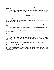days of Paul, spiritual authority, as well as political authority, has been in the hands of the Gentiles.

Today there is no difference between Jew and Gentile, but the same Lord over all is rich unto all that call upon Him. For whosoever shall call upon the name of the Lord shall be saved (Romans 10:12, 13).

#### **S T U D Y Four** *- REVIEW*

1. What great body of truth in the Bible is contrasted with prophecy?

2. While many incidental things are prophesied in the Bible, what are the two main events predicted in prophecy?

3. How much of the first of these subjects of prophecy had been fulfilled up to Acts 3:19?

4. Upon what did Peter condition the fulfillment of the other of these two subjects?

5. What happened to the prophetic program when God set Israel aside and started a new dispensation?

6. How do we know that we are not seeing prophecies concerning the Kingdom fulfilled today?

7. What is the difference between a Christian suffering tribulation and the Great Tribulation? Why will members of the Body of Christ not go through the Great Tribulation?

8. State when the times of the Gentiles began politically and also spiritually.

9. Describe how "the times of the Gentiles" will end.

10. Read Romans 11:12-15 and state what is the opposite of Israel's diminishing. What effect will the receiving of Israel back again after the times of the Gentiles have upon the world at large?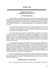## **STUDY Five**

#### **SUBJECTS RELATED TO DISPENSATIONAL TRUTH, Cont.**

#### **THE RESURRECTIONS**

Certain subjects in the Bible lend themselves to the dispensational type of study more than others. We have been considering some of these in our past studies and will continue now with the subject of the resurrections. Theologians as a whole do not treat this subject dispensationally. They know only of what they call a "general resurrection." Even so great a scholar as Dr. Charles Hodge states in his three-volume *Systematic Theology:*

The events which according to the common doctrine of the church are to attend the second coming of Christ are first, the general resurrection of the dead; second, the final judgment; third, the end of the world; and fourth, the consummation of the kingdom of Christ.

In our third study we discovered the so-called "end of the world" is not at all what Dr. Hodge makes it to be; neither does it come after the final judgment. It is the end of the age, the present evil age, and it precedes the establishment of the millennial kingdom of Christ. Dr. Hodge, agreeing with the commonly held doctrine of the church, supposes there will be a general resurrection when all of the dead, saved and unsaved will be raised up. This, as we shall presently see from our study, is not at all the teaching of the Scripture.

The Scripture teaches there will be several future resurrections instead of the one general resurrection of traditional Christianity. An undispensational approach to the Scripture must lump all of these resurrections into one, with the result that the whole truth of the millennial kingdom of Christ is denied. Those who teach just one general resurrection are forced to deny the plain scriptural truth that Christ is coming back to establish His kingdom, for there is a resurrection both before and after that kingdom. By bringing the resurrections together and making them one, they squeeze Christ's kingdom out of existence. There just isn't any place left for it.

There are actually three future resurrections. One takes place at the Rapture of the church at the end of this dispensation of the Mystery; the next occurs at the end of the Great Tribulation and ushers in the millennial kingdom; and the last occurs at the end of the Kingdom age.

#### **RESURRECTION AT THE RAPTURE**

The next resurrection after Christ's will be that of the members of the Body of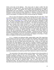Christ at the time of the Rapture. This occurs prior to what is called "the first resurrection" in Revelation 20:5. But it may be asked, how could there be a resurrection before the first one? This question has caused many premillenarians to adopt a posttribulation view of the Rapture. It is very evident that those who are killed for the testimony of Jesus during the Great Tribulation for refusing to worship the beast are included in "the first resurrection" (Revelation 20:4). If this first resurrection is the next event on the program, it is evident the church must go through the Tribulation.

But it is not at all necessary to place this meaning upon the word "first." There are two resurrections in prophecy, that of the just and that of the unjust (Daniel 12:2; John 5:29). There is no exact revelation of the interval between these resurrections until we come to Revelation 20:4, 5 where we learn they will be separated by 1000 years. The book of Revelation deals only with these resurrections of prophecy; it does not even mention the Body of Christ or its Rapture. The whole truth about the Body of Christ was a mystery never before revealed to men in ages and generations before Paul. If the fact that there would even be such a thing as the Body of Christ was unknown to the prophets, it is not very likely they would have described the resurrection and Rapture of that Body. Since this present dispensation has been injected into and has interrupted the course of Kingdom prophecy, it is both logical and scriptural to believe God will consummate His purpose with members of the Body before He resumes His dealing with Israel during the Tribulation. Therefore the first resurrection of Revelation is simply the first of the two resurrections mentioned in that book. Paul was given a special revelation about the resurrection and Rapture of the Body of Christ, which is in addition to the first resurrection of prophecy.

Dr. C. I. Scofield in his *Reference Bible,* original edition, page 1228, taught there are two phases to the first resurrection: one before the Tribulation, which would include the saved of all the past ages; and then another at the end of the Tribulation just for those saints who are to be killed during that terrible time. While it is true these two resurrections are close together in time, we feel Dr. Scofield is mistaken in placing the resurrection of the Old Testament saints before the Tribulation, for the prophets plainly state the opposite, and in fact so does Dr. Scofield himself in his notes on Daniel 12:1, 2. He has as a heading over verse 1 "The Great Tribulation," which describes that time of trouble such as never was since there was a nation even to that same time. Verse 2 follows after this Tribulation, describing the resurrection. Paul refers to the resurrection of members of the Body as a secret or mystery, and we believe many difficulties and seeming contradictions are cleared up when Paul's statement is taken at its face value.

The resurrection of the dead members and the Rapture of the living members of the Body to meet the Lord in the air is an imminent hope. This means there is no revealed contingency standing in the way of its occurrence. There were, however, probably some temporary contingencies during the lifetime of Paul, such as when Christ told Paul in Acts 23:11 that he must bear witness in Rome. Paul knew that the Lord would not come until after he reached Rome. But, of course, there are no such contingencies today. We may expect the Lord to come for us at any moment, and when that event occurs the resurrection of the dead in Christ will precede the translation of the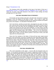living (1 Thessalonians 4:15).

The Scriptures which refer especially to this hope of the Body of Christ are 1 Thessalonians 4:13-18; 1 Corinthians 15:51-54; Philippians 3:20, 21; and Titus 2:13. There are, of course, many other allusions to this event in Paul's writings, but these passages give the major details.

#### **THE FIRST RESURRECTION OF PROPHECY**

Of necessity we have already said quite a bit about this resurrection in trying to distinguish it from the Rapture of the Body of Christ. This is what is called "the resurrection of the just." It is predicted through the Old Testament prophets and spoken of by Christ in the Gospels. It is described in Revelation 20:4-6:

And I saw thrones, and they sat upon them, and judgment was given unto them: and I saw the souls of them that were beheaded for the witness of Jesus, and for the word of God, and which had not worshipped the beast, neither his image, neither had received his mark upon their foreheads, or in their hands; and they lived and reigned with Christ a thousand years. But the rest of the dead lived not again until the thousand years were finished. This is the first resurrection. Blessed and holy is he that hath part in the first resurrection: on such the second death hath no power, but they shall be priests of God and of Christ, and shall reign with him a thousand years.

Since all of the members of the Body of Christ will have been raised several years prior to this resurrection, and since it includes all of the saved dead of past ages, it is apparent only the unsaved dead will be left in the graves. Both the members of the Body and the saints of the Old Testament will reign with Christ during the thousand years, but there will be a difference in relationship. The latter will be connected with the earth and will be living upon the earth, even as Christ revealed in Matthew 8:11: "Many shall come from the east and west, and shall sit down with Abraham, and Isaac, and Jacob, in the kingdom of heaven." Members of the Body will be associated with Christ in His heavenly sphere of reign.

#### **THE FINAL RESURRECTION**

This is the resurrection of the unjust. It occurs after the thousand years are finished. It is the general resurrection of the unsaved: it apparently includes no saints. it appears only unsaved people will die after the first resurrection takes place. All of these unsaved people, as well as the unsaved of past ages, will be raised for their final judgment. Their bodies will not be incorruptible and immortal, as those of the saints, but they will be capable of the second death. Being cast into the "lake of fire" is called the second death in Revelations 20:14,15. This death is not annihilation, for it is expressly stated that they shall be tormented there for ever and ever (Revelation 20:10; 14:10,  $11$ ).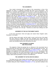#### **THE JUDGMENTS**

Very closely connected with the subject of the resurrections is that of the judgments, for there is a judgment connected with each of the resurrections. The judgment in connection with the Rapture of the church is called the judgment seat of Christ. The purpose of this judgment is not to discover who is saved and who is lost, nor is it to inflict punishment upon any one. The only ones who will stand before this judgment seat will be saved members of the Body of Christ. The Greek word for judgment seat is *Bema* (Romans 14:10; 2 Corinthians 5:10). As Paul uses this word and as he describes this place of rewards in I Corinthians 3:10-15, it is evident the believer is not going to enter into judgment for his sins, but rather his works are going to be put to the test. If his works endure the testing fire he will receive a reward; if they do not stand the test he shall suffer loss of reward, but he himself shall be saved, yet so as by fire. Paul illustrates this truth with the runners in a race either winning and receiving a prize or of losing or being disqualified (I Corinthians 9:24-27). Every Christian should fervently desire to have much fruit that will remain in that day and that will abound to the glory of God through eternity. God will reward every work done for the glory of Christ. Salvation is not a reward, but a free gift. Therefore our works have nothing to do with our salvation.

#### **JUDGMENT OF THE OLD TESTAMENT SAINTS**

At the first resurrection Christ will judge and reward these Kingdom saints. Revelation 11:18 states:

And the nations were angry, and thy wrath is come, and the time of the dead, that they should be judged, and that thou shouldest give reward unto thy servants the prophets, and to the saints, and them that fear thy name, small and great; and shouldest destroy them that destroy the earth.

#### **THE JUDGMENT OF ISRAEL AND THE NATIONS**

The judgment of these two groups has no reference to the resurrection but to those living upon the earth when Christ returns in power and great glory as King. The judgment of Israel is described very graphically in Ezekiel 20:33-44. The classic passage on the judgment of the living nations is Matthew 25:31-46. The purpose of this judgment is to determine who shall be permitted to enter the millennial kingdom. The rebels will be purged out of Israel and the "goat" nations will be destroyed. Only the "sheep" nations will be permitted to continue in the Millennium.

#### **THE JUDGMENT OF SATAN AND HIS ANGELS**

The Beast and the False Prophet will be judged and cast into the lake of fire at the beginning of the Millennium (Revelations 19:20). Satan and his angels are cast out of heaven during the Great Tribulation (Revelation 12:7-12), and then confined in the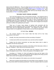abyss during the Millennium. They are judged and cast into the lake of fire which was originally prepared for the Devil and his angels (Matthew 25:41; Revelation 20:10). Paul states that we are going to have a part in judging the angels (I Corinthians 6:3). Some of the angels have been confined in a place called "hell" but more literally *Tartarus,* the lowest prison (2 Peter 2:4) awaiting judgment.

#### **THE GREAT WHITE THRONE JUDGMENT**

This is the final judgment of the unsaved dead of all ages. This judgment will not be for the purpose of determining who is saved or lost, but rather for the purpose of reviewing all of the deeds of the unsaved in order to mete out punishment and to completely justify all of God's dealings with lost mankind. No one will be able to accuse God in that day of injustice or lack of love. Every mouth will be stopped and everyone will have to confess he is getting his just reward.

There are, of course, many phases of spiritual truth connected with the resurrections and the judgments which are beyond the scope of this study. We have dealt mainly with the dispensational distinctions. The students must pursue these subjects further for the application of these truths to his own life and experience.

#### **S T U D Y Five** *- REVIEW*

1. The common doctrine of the church holds that there will be how many resurrections in the future?

2. Actually, how many resurrections are there according to Scripture?

3. At what event will the next resurrection occur and who will be included?

4. Explain how the above resurrection can take place before what is called in Revelation 20:5 the first resurrection.

5. When will the resurrection of members of the Body of Christ take place, before or after the Tribulation? When will the first resurrection occur?

6. Explain how the believer, who will never come into judgment, must yet stand before the judgment seat of Christ. What is the purpose of this judgment seat?

7. According to 2 Timothy 4:1 Christ will judge the living and the dead at His appearing and kingdom. At which of the judgments will He judge just the living? just the dead? and at which will He judge both living and dead?

8. When will the judgment of the nations occur and what is its purpose?

9. What kind of people will stand before the Great White Throne judgment? Do you think they will all suffer the identical punishment? Does the Scripture teach the second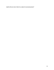death will ever end or that it is a state of unconsciousness?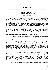## **STUDY Six**

#### **SUBJECTS RELATED TO DISPENSATIONAL TRUTH, Cont.**

#### **THE GOSPELS**

Most of us know the word "gospel" means good news. This Anglo-Saxon word originally meant just exactly what the Greek New Testament word *euangellion* means. The word was originally spelled godspell. Since all good comes from God, this meant a story of good news. Surely there could be no better news than the fact God has made a perfect and eternal provision for undeserving and hopeless sinners through the death and resurrection of His Son, Jesus Christ. It is possibly because God Himself has done all of the work necessary for man's salvation, leaving nothing for man to do but to accept it by faith as a free gift, that some people get the impression the gospel is simple. Others seem to be unaware of the fact the Bible contains several distinct gospel messages, and by combining them they confuse the gospel of pure grace which God has announced for this dispensation. Still others are altogether ignorant of what the gospel is. They suppose it is the Sermon on the Mount, or simply calling on men to repent. Perhaps some get the impression since the four books which tell of the earthly life of Jesus are called the Gospels, the gospel is simply that story.

In our study of the gospel we will first notice some general facts, then try to show the distinctions between the various gospels announced in the Bible, and finally state what the gospel for today is.

The Greek word for gospel is used seventy-seven times in the New Testamenttwelve times in the so-called Gospels, twice in Acts, sixty-one times in Paul's epistles, once in I Peter, and once in Revelation. The verb, to preach the gospel or to evangelize, is used fifty-six times - eleven times in the Gospels, fifteen times in Acts, twenty-five times in Paul's epistles, three times in I Peter, and twice in Revelation. Taking the noun and verb together Paul speaks of the gospel eighty-six out of the 133 times these words are used; the Gospel writers use the words twenty-three times; Luke uses them seventeen times; Peter four times; and John in Revelation three times.

Any piece of good news is gospel. For example, in the Septuagint version (the Greek translation of the Hebrew Old Testament) this word *euangellion* is used in 2 Samuel 4:10 by David: "When one told me, saying, Behold, Saul is dead, thinking to have brought me good tidings…" It was good news to the Philistines when they killed King Saul , ad so we read in I Samuel 31: 9, "And they cut off his head, and stripped off his armour, and sent into the land of the Philistines round about, to publish it in the house of their idols, and among the people."

In every dispensation God has had good news for people, but that news has not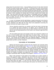always been the same kind of news. It was probably good news for Cain when God told him that He would not allow anyone to kill him. It was good news when God promised to save Noah and his family alive. God told some good news to Abraham about a great nation that would spring from him and about the land God would give them. It was good news for the Israelites when they were being destroyed by fiery serpents that they could be healed of their snakebites by looking upon the brazen serpent which Moses had made. God told David some good news about an everlasting throne and kingdom which he was going to him through his greater Son. None of these gospel messages are for us today, of course, but many suppose wherever we read about gospel in the New Testament, that is for us.

In Luke 1:19 Zacharias had the glad tidings or gospel announced to him that his wife was going to bear him a son who would be the forerunner of Messiah. At the birth of John, Zacharias was filled with the Holy Ghost and prophesied concerning the salvation God was now ready to bring to Israel:

That we should be saved from our enemies, and from the hand of all that hate us; to perform the mercy promised to our fathers, and to remember his holy covenant; the oath which he swore unto our father Abraham, that he would grant unto us, that we being delivered out of the hand of our enemies might serve him without fear.

This was indeed good news to the people of Israel, but it should be evident to all that this is not the gospel which God would have us preach today. God has not promised to deliver us, members of the Body of Christ, from our enemies and all that hate us. This promise will be fulfilled only in the millennial kingdom. Therefore this announcement of good news at the birth of Christ's forerunner introduces us to the first gospel which we find in our New Testament.

#### **THE GOSPEL OF THE KINGDOM**

Observe first that this gospel is based upon the promises and covenants which God made with His ancient people Israel (Luke 1:70-73). Next, it was announced by all the holy prophets since the world began. Third, it concerned not only forgiveness of sins (Luke 1:77) but also physical deliverance of Israel from her enemies. It is evident that this gospel also included deliverance from physical infirmities and afflictions, for wherever Jesus went or wherever He sent His apostles preaching this gospel of the Kingdom the healing of diseases was uppermost in the ministry. Finally, notice this message is specifically called "the gospel of the kingdom" (Matthew 4:23; 9:35; 24:14).

Many of the provisions of the gospel of the Kingdom are in direct contrast to those of the gospel for today. Although in the mind of God the death of Christ was necessary for the final establishment of the Millennium, we see it was possible while Christ was on earth to be a preacher of that gospel without knowing or understanding the first thing about His death. In Luke 9:1-6 we read that Jesus sent His twelve disciples to preach the kingdom of God and gave them power over all devils and to cure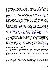diseases - "And they departed, and went through the towns, preaching the gospel, and healing every where." Some two years later Jesus began to tell these same disciples about His impending death and resurrection, and we read in Luke 18:34: "And they understood none of these things: and this saying was hid from them, neither knew they the things which were spoken."

No one could preach the gospel for today who was ignorant of the death and resurrection of Christ, for Paul states that that is the gospel (I Corinthians 15:1-3). It is the gospel because His death was *for* our sins, and His resurrection was *for* our justification (Romans 4:25). The gospel for today is not the gospel of the Kingdom, because it does not have in view the establishment of the Kingdom, but the formation of the church which is Christ's Body. The gospel for today is not based upon the covenants made with the nation of Israel, as is the Kingdom gospel. It is rather the gospel of the Grace of God, for it is God's gracious provision for a hopeless world of people who are aliens from the commonwealth of Israel and strangers from the covenants of promise (Ephesians 2:12). The gospel of the Kingdom promised the national deliverance of Israel from her enemies, but the gospel for today has no promise whatsoever of political or material salvation. A prominent feature of the gospel of the Kingdom was the healing of the body, for in the Millennium there will be health and longevity (Isaiah 65:18-25). Many sign gifts accompanied the preaching of the gospel of the Kingdom (Mark 16:15-18), for the Jews require a sign (I Corinthians 1:22; 14:22). The gospel for today has no promise of long life or of freedom from sickness or of miraculous outward signs (Romans 8:23; 1 Timothy 5:23; 2 Timothy 4:20).

The gospel of the Kingdom goes back basically to the great Davidic covenant in 2 Samuel 7, where God unconditionally promised David a house, a throne, a kingdom, and a King from his seed who should reign forever. That is the reason the gospel of Matthew, which is especially the Kingdom gospel, begins with the words, "The book of the generation of Jesus Christ, the son of David." This Kingdom gospel was proclaimed while Christ was on earth. This is the gospel which Peter and the others proclaimed at Pentecost and for some time thereafter. That is why Peter spoke so much about David on that occasion and stated that David "being a prophet, and knowing that God had sworn with an oath to him ... according to the flesh, he would raise up Christ [from the dead] to sit on his throne" (Acts 2:30).

The gospel of the Kingdom was rejected by the nation of Israel, and in casting Israel aside temporarily God raised up a new apostle and revealed to him the gospel for today. After this dispensation of Grace has ended, the gospel of the Kingdom will again be proclaimed in all the world for a witness, then the end of the age will come, according to Matthew 24:14.

#### **THE GOSPEL OF THE CIRCUMCISION**

Paul calls the gospel which the twelve apostles preached "the gospel of the circumcision" to distinguish it from the one he preached to the Gentiles, which he called "the gospel of the uncircumcision" (Galatians 2:7-9). Actually there is very little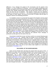difference, if any, between the gospel of the circumcision and the gospel of the Kingdom. It is more a difference of emphasis. Just as the Kingdom gospel goes back to David, the gospel of the circumcision goes back to circumcised Abraham. Matthew's opening verse, partially quoted before, states not only that Jesus Christ is the son of David, but also the son of Abraham. This gospel is based upon the Abrahamic covenant of circumcision of Genesis 17. This covenant guarantees that Abraham will be the father of many nations, and that all of the land of Canaan shall be given to Abraham's seed for an everlasting possession.

It is doubtless correct to say that both the gospel of the Kingdom and the gospel of the circumcision were being proclaimed by the Twelve to Israel at one and the same time at Pentecost and thereafter. Just how long were these gospel messages in order? It would seem that with the salvation of Paul and with his being separated unto his new, secret ministry to the Gentiles (that is, by Acts 13, at least), it is abundantly evident that the Kingdom and circumcision gospels have been rejected by Israel nationally, and that their messages have been set aside with the setting aside of Israel. At least by Acts 15, God sent Paul up to Jerusalem by special revelation to communicate the new gospel for this present dispensation to the twelve apostles, so that they would know what God's message for the world really was. However, it seemed good to the Holy Spirit to permit Israelitish believers to continue in the Mosaic practices as long as Jerusalem and its temple stood (Acts 15:19-28). It seems evident from Galatians 2:16 and Acts 15:11 that after Paul's visit Peter knew and understood and believed Paul's message of justification by faith apart from the works of the Law.

Circumcision in itself did not save, but there could be no covenant blessing apart from it (Genesis 17:13, 14). Likewise under the gospel of the circumcision, water baptism was a requisite, although in itself it did not save. In giving the commission for this gospel Christ declared, "He that believeth and is baptized shall be saved" (Mark 16:16). Peter's message at Pentecost was, "Repent, and be baptized every one of you in the name of Jesus Christ for the remission of sins, and ye shall receive the gift of the Holy Ghost" (Acts 2:38). In striking contrast to this, Paul's message was the gospel of the uncircumcision, which was just as much without water baptism as it was without circumcision (I Corinthians 1:17).

## **THE GOSPEL OF THE UNCIRCUMCISION**

Quite a bit has already been said about the gospel which was given to Paul. It goes back for its basis, not to circumcised Abraham, but to uncircumcised Abram. It is based on Genesis 15:6 - "And he believed in the Lord; and he counted it to him for righteousness." This is Paul's message of justification by faith. It should be remembered that Abram lived in a world which had given up God and one which God had given up (Romans 1:21-28), just as Paul lived in a world in which both Israel and the Gentiles had rejected and crucified the Lord of Glory. Abram was justified apart from the Law and apart from works. Abram was saved in uncircumcision. Likewise Paul was given a gospel fitted to the needs of the uncircumcised people, the Gentiles, who were strangers and aliens. This gospel fitted the needs of Israel too, for they had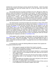forfeited their covenant blessings by having rejected their Messiah. Under this gospel God concluded both Jews and Gentiles under sin, so that He might show mercy and grace to all alike.

Paul actually had only one gospel committed to his trust, although he called it by different names and related it to the revelation of the mystery. He called it *the gospel of the grace of God* in Acts 20:24. He also often called it *the gospel of God* and *the gospel of Christ* (Romans 1:1,16). Several times he called it *the gospel of the glory* (2 Corinthians 4:4; 1 Timothy 1:11). He called it my *gospel* (Romans 16:25; 2 Timothy 2:8), because it was a special trust first committed to him by direct revelation. He spoke of *the mystery of the gospel* in Ephesians 6:19. And in Romans 16:25 he connected his gospel with *the preaching of Jesus Christ, according to the revelation of the mystery.*

The historical facts concerning the death and resurrection of Jesus Christ which formed the basis of Paul's gospel were according to the Scripture (I Corinthians 15:3, 4). As such this gospel of God had been promised afore by the prophets in the holy Scriptures (Romans 1:1, 2). But there was given to Paul also the mystery or the secret of the gospel, which is the key to the understanding of all of God's dealings in man's salvation in all dispensations. The crucifixion of Messiah was predicted in Psalm 22, but none of the prophets proclaimed what Paul calls *the preaching of the cross.* Peter preached the bad news of the crucifixion to Israel at Pentecost; Paul proclaimed the good news of the Cross, how that God was in Christ, reconciling the world unto Himself, not imputing their trespasses unto them (2 Corinthians 5:19).

Paul's gospel, as the message of reconciliation, goes all the way back to Adam (Romans 5:10-21). With Israel cast aside, Paul lived in a world alienated from God, a world which stood in need of reconciliation. Paul saw the whole world by nature in Adam, condemned and doomed to death. His gospel took men out of Adam and placed them in Christ.

In conclusion let us notice the following differences between Paul's gospel and the gospel proclaimed by Peter:

- Paul's gospel is separate and distinct from Israel's covenants.
- It is based on the predicted crucifixion of Israel's Messiah, but its message is a secret not revealed to the prophets.
- It goes back before David and circumcised Abraham to uncircumcised Abram, declaring men to be justified by faith alone, apart from the world of Law, religion, or flesh.
- It goes back to Adam, the head of the old and ruined creation, and places that believing sinner of any nationality in Christ, the Head of the new creation.
- It goes back before the foundation of the world, and gives us the secret of God's will in His mighty program of redemption.
- Its message is preached with a view to forming the Body of Christ, and not to the establishing of the Messianic kingdom upon earth.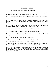# **S T U D Y Six** *- REVIEW*

1. What does our English word "gospel" actually mean?

2. Paul's use of the word "gospel" in both noun and verb forms makes up what percentage of the total use of these words in the New Testament?

3. Is anything besides the salvation of the soul called gospel in the Bible? if so, what?

4. How many things can you find which were distinctive parts of the gospel of the Kingdom? Make a note of those things which are not a part of the gospel of Grace for today.

5. During all of the time the Twelve were preaching the gospel of the Kingdom while Christ was still with them, of what significant fact were they ignorant?

6. Upon what great covenant is the gospel of the Kingdom based?

7. Upon what great covenant is the gospel of the circumcision based?

8. How long was the preaching of these above two gospels in order? What message superseded them?

9. How many gospels were committed to Paul's trust?

10. Did circumcision in itself every save anyone? Was its practice mandatory at one time for God's blessing? Compare this with water baptism.

11. What was the difference between Peter's preaching at Pentecost about the death of Christ and Paul's preaching of the same event according to his gospel?

12. What is the difference between the gospel of God which had been promised afore by the prophets in the holy Scriptures (Romans 1:1, 2) and the preaching of Paul's gospel according to the revelation of the mystery, which was kept secret since the world began (Romans 16:25)?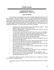# **STUDY Seven**

## **SUBJECTS RELATED TO DISPENSATIONAL TRUTH, Cont.**

## **LAW AND GRACE**

Law and grace are perhaps the two most contrasting dispensational terms in the New Testament. With the exception of John 1:17, all of the teaching on this subject is to be found in the writings of Paul. It was especially given to him to set forth the dispensational distinctions between these two great systems of truth. It might be well at the outset to notice some other words which Paul associates with these two terms. He very often speaks of works and the flesh in connection with Law, and faith and spirit in relationship with grace. Let us first notice some of Paul's contrasts:

- Therefore by the deeds of the *law* there shall no flesh be justified ... Being justified freely by his *grace* (Romans 3:20, 24).
- Where is boasting then? It is excluded. By what law? *of works?* Nay: but by the law *of faith* (Romans 3:27).
- For the promise, that he should be heir of the world, was not to Abraham, or to his seed, through the *law,* but through the righteousness of *faith* ... Therefore it is of *faith,* that it might be by *grace* (Romans 4:13, 16).
- Moreover the *law* entered, that the offense might abound. But where sin abounded, *grace* did much more abound (Romans 5:20).
- For sin shall not have dominion over you: for ye are not under the *law*, but under *grace* (Romans 6:14).
- But now we are delivered from the *law,* that being dead wherein we were held; that we should serve in newness of *spirit* (Romans 7:6).
- I do not frustrate the *grace* of God: for if righteousness come by the law, then Christ is dead in vain (Galatians 2:21).
- And if by *grace,* then is it no more of works: otherwise grace is no more grace (Romans 11:6).
- And the *law* is not of *faith* (Galatians 3:12).
- Christ is become of no effect unto you, whosoever of you are justified by the *law;* ye are fallen from *grace* (Galatians 5:4).
- But if ye be led of the *spirit,* ye are not under the *law* (Galatians 5:18).
- For by *grace* are ye saved through *faith* ... not of works, lest any man should boast (Ephesians 2:8, 9).

Many other references of Paul's could be noted, but let us consider for a moment this statement of another apostle:

For the *law* was given by Moses, but *grace* and truth came by Jesus Christ (John 1:17).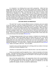It is important in our thinking that we get John's perspective. While God has always been gracious, and while the Lord Jesus showed much grace in dealing with people while He was on earth, it must be remembered that all during that time the dispensation of *law* was still in effect. The Word says He was "made of a woman, made under the *law*" (Galatians 4:4). Therefore Christ did not bring *grace* in contrast to *law* during the Gospel records, but rather through His death and the subsequent revelation of that truth which was given especially to Paul. John's gospel, written much later than the other Gospels and in light of the Pauline revelation, begins with the fact that *grace*  and *truth* had already come through the death and resurrection of Christ. It is this fact that makes John's gospel so different from the others.

## **LAW AND GRACE AS PRINCIPLES**

The word "law" is used in several different senses in Scripture, just as we speak of the law of gravity, or the law of supply and demand, or the law of the land. It would appear the main idea behind law as a principle is just this: a certain cause produces a certain effect. Laws cannot really be broken; they may be disobeyed. When one obeys a law there is a certain result; when that same law is disobeyed there is another result. The law is working in either case. One law may annul or overcome another law, just as the principle of life in a tree causes it to overcome the law of gravity and to lift itself into the air. Just so in Scripture we are taught the law of the Spirit of life in Christ Jesus sets us free from the law of sin and death (Romans 8:2).

The dispensational principle of the Law, however, is limited to its connection with the Law of Moses. When Paul speaks about not being under the Law, of not being justified by the Law, he is referring to the Mosaic Law as a meritorious system. He is saying sinful man, who merits only the wrath of God, can never save himself or make himself pleasing to God by his own works. Paul does not in any way belittle the Law; he defends and upholds it. He shows there is nothing at all wrong with the Law (Romans 7:12). Rather, the trouble is with man. The Law states:

Cursed is every one that continueth not in all things which are written in the book of the law to do them (Galatians 3:10).

Therefore it is impossible for the Law to help the sinner; it can only condemn him.

Grace as a principle is just the opposite of Law. It does not operate on the basis of merit. It provides and gives freely to the undeserving the good he needs but cannot generate of himself. The contrast between the principles of Law and grace are perhaps most clearly defined in Romans 4:4, 5:

Now to him that worketh [that is, who approaches God on the Law principle] is the reward not reckoned of grace, but of debt. But to him that worketh not [that is, who approaches God on the principle of grace], but believeth on him that justifieth the ungodly, his faith is counted for righteousness.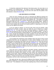It should be understood that whenever God shows grace, He never does so at the expense of His righteousness. The death of Christ so completely satisfies every claim of God's holy Law that God can be just and at the same time the justifier of him who believes in Jesus (Romans 3:26).

#### **LAW AND GRACE AS SYSTEMS**

There are many Christians who seem to understand the difference between the principle of Law and grace in salvation who fail to see the distinctions between them as systems. They fall into the same error as the Galatians did. They begin in the Spirit (that is, by grace) and then try to perfect themselves by the flesh (that is, by placing themselves under the Law) - Galatians 3:3. Paul calls such people foolish. Simply as principles, we see both Law and grace manifested throughout the Bible. It is only as we come to Paul's epistles that we see the two great systems or dispensations of Law and Grace set over against one another.

If we are careful to observe, we will see both Christ and His apostles, while manifesting the principle of grace, were yet under the Law of Moses as a system (Matthew 23:2, 3). It is also very evident the Jewish believers in Jerusalem at Pentecost and all during the book of Acts were still under the Mosaic system. As late as Acts 21:20 the many thousands of Jewish believers in Jerusalem were all zealous of the Law. Some, through the knowledge of the later revelation of truth which was given to Paul, suppose these Jewish disciples were disobedient in not giving up the Law. How else can we explain the action of these Jewish disciples?

If we recognize the uniqueness of the revelation which was given to Paul, we will understand that there was not opportunity for these Jewish disciples to even know anything about the passing of the Mosaic Law until at least Acts 15 when Paul went up by revelation to communicate this truth unto them (Galatians 2:2). And even on this occasion it seems evident that the understanding was that this truth was specifically for the Gentile believers and did not apply to the Jews who believed. Paul did not go to Jerusalem to settle the question of what the Jews were to practice, but what was necessary for the Gentiles (Acts 15:1-6, 19).

From Acts 15:21 it seems evident the Jerusalem apostles understood that the Jewish believers were still under the Mosaic system. James' statement in Acts 21:25, "As touching the Gentiles which believe, we have written and concluded that they observe no such thing," further substantiates this fact, for the clear inference is that the Gentile believers were to observe no such thing (the Mosaic customs) as did the Jewish believers. At least we know from Acts 15:28 this was not a mistaken idea of James or the apostles, but this is what "seemed good to the Holy Ghost."

We might well ask, then, what was the difference then between Jewish believers and Jewish unbelievers in Jerusalem during the Acts period, if both were observing the Mosaic Law? The unbelievers, of course, were rejecting Jesus Christ as their Messiah.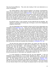That was the big difference. They were also trusting in their Law observance as a means of justification.

The Jewish believers, while remaining obedient to the Mosaic commandments, which were an integral part of their religious, political, and social life, knew there was salvation only in the name of Jesus Christ (Acts 4:12). The new covenant, which Christ had made in His blood, provided that the Law should be written upon the tables of their heart and not merely upon external tables of stone. Of course, the new was to take the place of the old, but the change was not to be instantaneous. The book of Hebrews was the first revelation given to the Jews as such concerning the passing of the old covenant, and chapter 8:13 clearly implies the gradual passing away of the old:

By using the words, "a new covenant," He has made the first one obsolete. But whatever is decaying and showing sign of old age is not far from disappearing altogether (Weymouth).

The Law dispensation was committed to Moses and the Grace dispensation was committed to Paul (Ephesians 3:2). These are two separate dispensations which are complete in themselves. God never intended the two should be mixed or confused. The grace of God is always frustrated when Christians mix Law and grace. One of the erroneous systems of our day guilty of this mixture is Seventh Day Adventism, which is propagated on a very side scale through the radio program, "Voice of Prophecy." The Adventists contend only the ceremonial Law was done away through Christ and that the Ten Commandments, along with the seventh day Sabbath, are still as binding as ever upon God's people. These people, along with many other so-called Christians, argue that we must be antinomian (lawless) if we are not under the Ten Commandments. They ask, what other motive is there to be good? Seemingly they have never come to understand either the fact that the Law was never given to make men good or the fact that only the love of Christ can constrain men to be good (2 Corinthians 5:14, 15).

The fact that Paul means the whole Mosaic Law system has been done way, including the Ten Commandments, is plain from 2 Corinthians 3:6-13. Paul here calls the Law "the letter that killeth...... the ministration of death," "the ministration of condemnation," and "the old testament." It is evident that he is speaking of the Ten Commandments, for he expressly speaks of that "which was written and engraven in stones (verse 3), and anyone with knowledge of the Old Testament knows that this can only refer to the Ten Commandments. And he says concerning this whole system of the old covenant that it is "done away" and "abolished" (verses 11, 13).

It is most important to understand how the Law was abolished. It was not abolished by any disregard for it or by merely bypassing its claims. The Law was completely satisfied by the death of Jesus Christ. All of its claims were exhausted upon Him. He thus became the end of the Law for righteousness (Romans 10:4). Furthermore, the Law has dominion over people only as long as they live (Romans 7:1). After the Law has put a person to death it has no more dominion. Thus Paul teaches we have become dead to the Law through the (physical death of the) body of Christ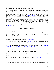(Romans 7:4). But Paul doesn't leave us in a state of death. He also says we have been raised from the dead with Christ to be married to Him.

Now let us ask, if a wife obeys her husband and lives pleasing to him, is it because the husband has set up a system of laws for her to keep, or is it because there is mutual love? The Law demanded that man love God with all of his heart, but love cannot be legislated. Since the flesh is enmity against God, it is impossible for those in the flesh to be subject to the Law of God (Romans 8:7, 8). As a new creation, the believer is no longer in the flesh but in the Spirit. Being born of the Spirit he has become a partaker of the divine nature. It is his nature now to love. He does not need the Ten Commandments to force obedience to God any more than Jesus Christ Himself needs such a Law. Thus Paul teaches that the believer, freed from the condemnation of the Law through the death of Christ and now alive through the resurrection of Christ and living under the reign of grace, actually fulfills all of the righteous requirements of the Law (Romans 8:4). Paul's gospel did not make void the Law, but rather fulfilled it (Romans 3:31).

## **S T U D Y Seven –** *REVIEW*

1. What four important words are often used in connection with Law and grace?

2. Complete: "I do not \_\_\_\_\_\_\_\_\_\_\_\_ the grace of God; for if \_\_\_\_\_\_\_\_\_\_\_ come by the Law, then Christ is dead \_\_\_\_\_\_\_\_\_\_\_\_\_\_."

3. Was Christ gracious while He was on earth? In what sense does John apparently mean grace came by Jesus Christ (John 1:17)?

4. Did grace and Law ever co-exist? Read Romans 4:6-8 and state whether David lived under the Law and whether he experienced God's grace.

5. In what sense do you think the word "law" is used in the following passages: Romans 7:7; Romans 8:2; Galatians 6:2; Romans 7:21; 2 Timothy 2:5?

6. What usage of the word "law" is especially related to dispensational truth?

7. List as many distinctions as you can between Law and grace.

8. Quote a verse to prove Paul did not belittle the Law, but rather upheld it as holy and good.

9. What was the error of the Galatians? (See especially 3:3; 4:9,21; 5:4.)

10. Show from Scripture that Christ and His apostles lived under the Mosaic Law.

11. Explain why the Jewish believers at Jerusalem continued to observe the Law of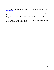Moses even as late as Acts 21.

12. How did these Jewish apostles learn about the gospel of the Grace of God? (See Galatians 2:2.)

13. State in what sense the true Jewish believers at Jerusalem were observing the Law.

14. How much of the Law has been done away in Christ? State how the Law was abolished.

15. If the believer today is not under the Ten Commandments, what restraints and motivations do they have for proper behavior?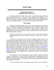# **STUDY Eight**

## **SUBJECTS RELATED TO DISPENSATIONAL TRUTH, Cont.**

In this study we shall consider several more of the biblical subjects which are related to dispensational truth. Thus far we have considered such subjects as The Ages, Prophecy, The Times of the Gentiles, The Resurrections, The Gospel, and Law and Grace. We have seen that all of these subjects must be studied dispensationally if they are to be rightly understood. Let us look now at the doctrine of the church.

### **THE CHURCH**

Practically all dispensationalists make a clear distinction between Israel and the church. Traditional, undispensational interpretation sees no distinction between these two groups. To them, Israel is the church and the church is Israel. As always, every erroneous system has some element of truth in it. What element of truth is in this traditional view may be seen from the following quotation from the *Scofield Reference Bible,* original edition, page 1021:

Israel was a true "church," but not in any sense the N.T. church-the only point of similarity being that both, were "called out" and by the same God. All else is contrast.

If Israel was a true church but not the New Testament church, then it is not sufficient to merely state that Israel is not the church; we must qualify the word "church." Dr. Scofield does this by saying Israel is not the New Testament church. Here we believe a clearer distinction needs to be made. We prefer to say Israel is not the church which is the Body of Christ. This brings us to the question of what difference, if any, there is between the New Testament church and the Body of Christ. To Dr. Scofield, apparently there is no difference. But when we consider that the New Testament or New Covenant was promised to and made with the house of Israel (Jeremiah 31:31; Hebrews 8:8), and further realize that Israel is a true church, it should be evident that Israel is a New Covenant (Testament) church. Israel was in the past an Old Covenant (Testament) church. God promises that in the future she will be a New Covenant (Testament) church.

The confusion in the use of the expression "New Testament" arises from the dual usage of this expression. The New Testament technically and specifically means the compact or contract which God promised in Jeremiah 31:31. Most people have lost sight of this specific usage and now employ this term to mean the twenty-seven books from Matthew to Revelation.

The New Testament church to such people would mean the church mentioned in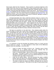these books called the New Testament. There would be no particular objection to this usage if there were only *one* church presented in these twenty-seven books. But as a matter of fact, some of these books of the so-called New Testament deal with Israel as a church, and some deal with the Body of Christ as the church. The church in Matthew 16:18, 19 is definitely the New Testament church of Israel as it will be constituted in the kingdom of heaven. This is the church Psalm 22:22 predicted (see Hebrews 2:12). We believe this church had its real inception on the day of Pentecost, although it existed in germ form during the earthly ministry of Christ.

All dispensationalists who make a distinction between Israel as a church in the Old Testament (and the Scripture itself does just that in Acts 7:38) and the Body of Christ of this dispensation must find a place where Israel ceased being a church and where the Body of Christ came into being. Actually, most of the differences between dispensationalists arise at just this point. Some suppose the new church of this dispensation came into being at Matthew 1:1; others think it began with John the Baptist; Dr. Scofield, and perhaps a majority of fundamentalists, hold that it began at Pentecost in Acts 2; others, like ourselves, believe it began with Paul's ministry; and still others contend it did not begin until after the history covered in the book of Acts.

We base our convictions on two plain facts. First, Scripture plainly states the church, the Body of Christ was a secret never revealed before it was made known to Paul. Corroborating this point is the fact that Scripture also indicated the church at Pentecost was not a secret but was according to the Predictions of all of the prophets from the beginning of the world (Acts 3:21). The second fact is the obvious truth that the Body of Christ is plainly set forth in the early epistles of Paul (I Corinthians 12:13, 27; Romans 12:5). Since the dispensation of the Body of Christ was committed to Paul, and since he wrote about this truth in his earlier ministry, it is only logical and scriptural to hold that this new church, the Body of Christ, had its historical inception with Paul's ministry in the Acts.

It is important to know the boundary line between Israel as a church and the Body of Christ as a church. It is also important to know some of the differences between these two outcallings. Let us list a few:

- Israel is a nation, the Body of Christ is not. Therefore many of God's dealings are on a national basis with Israel, whereas they are predominantly individualistic with the Body of Christ.
- Israel is a covenant people. Both the Old and New Covenants belong to that nation. The Body of Christ is not in covenant relationship to God, although its members partake of all of the spiritual blessings of the New Covenant which was made in Christ's blood.
- Israel has an earthly calling. God has promised this nation a definite territory upon this earth as an unending inheritance. The Body of Christ has no such earthly promises. Its blessings and inheritance are heavenly.
- The hopes of these two groups are different, although here we must be careful in our distinctions. Paul refers to the hope of Israel several times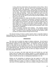in Acts, which the context limits to the resurrection of Jesus Christ. This is essentially our hope too. But if we refer to the coming again of Christ as the hope, we see a big distinction. Israel's hope will be realized when Jesus Christ returns to earth in power and great glory as King of kings and Lord of lords. Then Israel's enemies will be judged and Israel will enter into the millennial blessings. Some years before this event occurs the Body of Christ will realize its hope in the event we call the Rapture. Christ will come in the air and catch up all the living and dead members of the Body to ever be with Him.

- The spiritual programs for Israel and the Body of Christ are different in certain respects. Community of possessions, miraculous outward signs, water baptism for remission of sins, and other like things which we find in the so-called Great Commission, and which we observe happening in the early chapters of Acts, give us some idea of Israel's program. Some of these things carry on through the transition period of the latter half of the Acts until they are completely set aside and the permanent order of this dispensation is established.
- Israel is especially connected with prophecy. The prophetic program provides for salvation first for Israel, and then for the Gentiles through Israel. The Body of Christ is especially connected with the Mystery, which provides for Gentile salvation through the fall of Israel.

The Second Coming of Christ is another doctrine which is especially related to dispensational truth, but it has already been touched upon above, and was quite fully covered in Study Five on the Resurrections.

## **ORDINANCES**

We come next to consider the subject of religious ordinances. We will need to define this word rather accurately since there are several different Greek words which are translated "ordinance" in our English Bibles. An ordinance may be any decree, statute, or law made by the civil governor or by God. The Law of Moses contained many such ordinances It is this usage of the word in which we are particularly interested in our dispensational study. We are still under many civil ordinances but the Scriptures teach that in this present dispensation we are not under any religious ordinances. Notice a few passages from Paul:

For He is our peace, who hath made both [Jew and Gentile] one, and hath broken down the middle wall of partition between us; having abolished in his flesh the enmity, even the law of commandments contained in *ordinances;* for to make in himself one new man, so making peace (Ephesians 2:14, 15).

Blotting out the handwriting of *ordinances* that was against us, which was contrary to us, and took it out of the way, nailing it to his cross ... Let no man therefore judge you in meat, or in drink, or in respect of an holy day, or of the new moon, or of the sabbath days: which are a shadow of things to come but the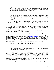body is of Christ ... Wherefore if ye be dead with Christ from the rudiments of the world, why, as though living in the world, are ye subject to ordinances, (Touch not; taste not; handle not; which all are to perish with the using;) after the commandments and doctrines of men? (Colossians 2:14-22)

When we turn to Hebrews 9:1 and 10, we discover this about the Mosaic Law:

Then verily the first covenant [Mosaic] had also *ordinances of* divine service, and an earthly sanctuary ... which stood only in meats and drinks, and divers washings [baptisms], and carnal *ordinances,* imposed on them until the time of reformation.

The grammatical construction makes it clear that the carnal ordinances are not in addition to meats and drinks and baptisms, but rather that these things themselves are all carnal ordinances.

These Scriptures make it very clear that Christ's death has fulfilled the Law and abolished all of these religious ordinances. If this be so, how is it we hear Christians today talking about the ordinances of the church? Most Protestants believe water baptism and the Lord's Supper are the two ordinances of perpetual obligation upon the church. Where do Christians get such teaching?

There is no doubt water baptism is a religious ordinance. It is called that in Hebrews 9:10. The idea that we are to practice this ordinance until the end of the age is based upon the so-called Great Commission of Matthew 28:19, 20. Supposing this to be the last command of Christ to His disciples, it is only natural to suppose this command is for our obedience today. However, this was not Christ's last command! He later revealed Himself from heaven to the apostle Paul and committed to him the present dispensation of the Grace of God. In this new dispensation Paul says:

Christ sent me *not* to baptize, but to preach the gospel.

The idea that the Lord's Supper is an ordinance comes from I Corinthians I t:2:

Now I praise you, brethren, that ye remember me in all things, and keep the *ordinances, as* I delivered them to you.

This is an unfortunate translation. It is the only place in the New Testament where this Greek word is translated ordinance. Practically all other versions render it "traditions." The word actually means, that which is delivered or handed over. The same word is used of the betrayal of Christ; Judas delivered Him over to the Jews (Matthew 26:15). Traditions are things which have been handed down by God or by man. Paul uses the same word in speaking of the gospel in I Corinthians 15:3 - "For I *delivered* unto you first of all that which I also received."

The Lord's Supper is not an ordinance in the sense that baptism and other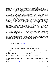religious commandments are. The Lord's Supper is not obligatory, as ordinances are. It can be observed anytime, anywhere, and there are no explicit instructions how it is to be done. Significantly, too, baptism and the Lord's Supper are never linked together in the Scripture. Surely if the Lord had left two obligatory ordinances for the church, we would expect to find them associated in some way.

Acts 28:28 dispensationalists contend the Lord's Supper is an ordinance, but since it is mentioned in a Pre-prison epistle of Paul, it is not for the Body of Christ. They claim Colossians 2:14 refers to the Lord's Supper, that it is one of the ordinances which was blotted out by being nailed to the cross of Christ. A little reflection should save one from such a blunder of interpretation. The Lord's Supper was instituted just the night before the Cross, and had meaning only in view of Christ's death. If the Acts 28 people were correct it would mean the Lord's Supper was abolished just a few hours after it was instituted. It would thus have been impossible of observance. Not only so, but the Lord's Supper is not "against us and contrary to us," as are the ordinances of Colossians. The Lord's Supper was a truth which Christ delivered to Paul, and which Paul delivered to members of the Body of Christ. There is nothing about it which is incompatible with the dispensation of Grace as revealed in the whole of the Pauline Scriptures.

Since I Corinthians is the only epistle in which Paul deals with water baptism and the Lord's Supper, it is interesting to see what emphasis he places upon them. When it comes to the water, Paul states Christ had not sent him to baptize, and he thanked God he had baptized so few. When it came to the Lord's Supper, Paul did not say: Christ sent me not to observe the Lord's Supper. Instead Paul said he had received truth about the observance of the Lord's Supper from Christ for them, and he goes about to correct the troubles which had arisen over its wrong observance.

## **S T U D Y Eight -** *REVIEW*

- 1. What is Israel called in Acts 7:38?
- 2. What is wrong about calling the church of today the New Testament church?
- 3. In what two ways is the expression "New Testament" often used?

4. What are some of the views various Christians hold as to the beginning of the Body of Christ? Do you know of any others not mentioned in the study? Where do most Reformed and Presbyterians begin the church?

5. What is the most evident reason the Body of Christ did not begin at Pentecost?

6. What positive scriptural proof is there that the Body of Christ began before Acts 28:28?

7. What is Israel called in Exodus 19:6 besides a kingdom of priests? Is the Body of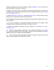Christ ever called this? Who do you think is meant in Matthew 21:43, to whom Christ said the Kingdom of God was to be given?

8. What is the Old Covenant or Testament, and with what people was it made? (See Jeremiah 31:32.) With what people was the New Testament made? (See Jeremiah 31:31 and Hebrews 8:8-13.)

9. Read Ezekiel 36:24, 2 Samuel 7, and Deuteronomy 28:2-14, and put down as many things as you can find that God has promised to Israel.

10. Contrast the blessings and hope of the Body of Christ with the answers given in the above question.

11. If the word "prophecy" is especially connected with Israel and its program, what contrasting word is especially connected with the Body of Christ?

12. What is the difference between the word "ordinance" in Colossians 2:14 and I Corinthians 11:2?

13. State how many religious ordinances of the character mentioned in Colossians 2:14 Christ has ordained for the church today. Where in the New Testament are water baptism and the Lord's Supper associated together?

14. Why do extreme dispensationalists who begin the Body of Christ at Acts 28:28 reject the Lord's Supper for our observance today?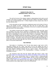# **STUDY Nine**

## **SUBJECTS RELATED TO DISPENSATIONAL TRUTH, Cont.**

#### **SIGN GIFTS**

This will be the last of the subjects related to dispensational truth which we will consider in this series of studies. Actually almost every subject in the Bible is affected in some way by dispensational truth. In these chapters we have chosen only a few of the more obvious ones.

By the sign gifts we mean miraculous enablements given by the Spirit of God as signs to the people of Israel. Actually Paul calls only one of these gifts a sign ("Wherefore *tongues* are for a sign" I Corinthians 14:22), but it is evident the associated gifts were also for the same purpose.

The problem involved with this subject is whether or not these sign gifts, which were prevalent in the early church, should be in manifestation today. Pentecostalists and others of like belief tell us all of these gifts should be in the church today, and that their lack of manifestation is due only to a lack of faith or of spirituality. Others think they ought to be manifested whenever the gospel is carried into a new region to cause people to believe. Some seem to be in favor of claiming such a gift as healing, but not in favor of tongues. We believe when the Scripture is rightly divided dispensationally, it will be seen that all of these sign gifts have served their purpose and have no further place in this present dispensation.

#### **THE PURPOSE**

Paul states in 1 Corinthians 1:22, "For the Jews require a sign" and in 14:22, "Wherefore tongues are for a sign." Paul tells us not to be children but men in understanding, explaining God had told Israel in their Law that He would speak to them with other tongues; therefore tongues are for a sign to Israel. One who doesn't understand this is not mature in his understanding of Scripture, according to I Corinthians 14:20-22.

The Scriptures show that God has always dealt with Israel in signs. (See especially Exodus 4:8; Deuteronomy 28:46; Joshua 4:6; Matthew 12:38, 39; 24:3, 30.) The word "sign" occurs seventy-three times in Scripture which is dispensationally Israelitish, and only three times in Paul's epistles, and all of Paul's references clearly refer to Israel (Romans 4:11; 1 Corinthians 1:22; 14:22). Israel was born nationally in a cradle of signs when God delivered them from Egypt by mighty signs and wonders. Christ produced many mighty signs in proof of His Messiahship.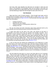And many other signs [besides the eight that are recorded in John] truly did Jesus in the presence of his disciples, which are not written in this book: but these are written that ye might believe that Jesus is the Messiah, the Son of God; and that believing ye might have life through his name (John 20:30, 31).

### **THE PROGRAM**

Signs were thus a part of Israel's program. Christ wrought many signs, and He promised that His disciples would do even greater signs or works (John 14:12). In the so-called Great Commission of Mark 16:15-18, Christ promised that these signs would follow them that believe:

- Casting out demons.
- Speaking with new tongues.
- Taking up serpents or drinking poison without hurt.
- Healing of the sick.

We see all of these and other miraculous signs being performed both by the twelve apostles and Paul during the period covered by the book of Acts.

If signs were given for the sake of the Jews, why should we find them in manifestation in the church which Paul, the apostle to the Gentiles, founded? And if they were in Paul's churches, should they not be in our churches today, if we are supposed to follow Paul? We believe the reason signs continued even after the new church, the Body of Christ, began under Paul's ministry is this: God did not in one stroke cut off and cast away His people Israel. That is not His way of doing things. Paul quotes Isaiah to the effect that "all day long" God had stretched forth His hands unto this disobedient and gainsaying people of Israel (Romans 10:21).

It was not that God was offering the establishment of the Millennium to Israel after Paul came on the scene, but as Paul says, God was trying to provoke Israel to jealousy by beginning a new dispensation with Paul and by sending salvation to the Gentiles (Romans 10:19; 11:11). Remember that the Body of Christ is a joint body of Jews and Gentiles. Even though God had cast aside the national kingdom promises to Israel for the duration of this dispensation, He still had a purpose in saving some of them before the final blow of judgment would be struck in the desolation of Jerusalem in 70 A.D.

This last stated fact also gives us a clue to why these gifts are not in operation today. There are two ways of stating when the sign gifts were to cease. In line with what has been said above, they were to cease when Israel was finally given up to judgment by God. We may say this happened judicially at the end of the Acts period, but actually the sentence was not carried out for another ten years. On the other hand, we may say the sign gifts were to cease when "that which is perfect [mature] is come" (I Corinthians 13:10). The coming of that which is complete or mature does not mean our going to heaven, but the bringing in of the mature course of this dispensation of Grace.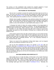The coming in of this established order awaited the complete judgment of Israel nationally and the completion of the revelation of truth for the Body of Christ.

## **THE PASSING OF THE PROGRAM**

We are now in a position to answer the question why these signs are not for us today. Not only do we have the fact that they were designed for Israel and that Israel has been cast away (Romans 11:15), but Paul clearly states that these signs are to cease. After speaking about the excellence of love in I Corinthians 13 he says:

Whether there be [gifts of] prophesies, they shall fail; whether there be [gifts of] tongues, they shall cease; whether there be [the gift of] knowledge, it shall vanish away. For we know in part, and we prophesy in part. But when *that which is perfect* is come, then that which is in part shall be done away (vv. 8-10).

To illustrate this further he likens the existing conditions of the dispensation to childhood and the coming mature condition to manhood. The sign gifts belonged to the childhood stage, but Paul says, "When I became a man, I put away childish things" (v. 11). Therefore, it is very evident that these sign gifts were to cease as soon as the dispensation had grown up. And we believe it did grow up to maturity with the final epistles of Paul.

Some people suppose these sign gifts continued right up to Acts 28:28 and then suddenly ceased. There is no more a basis for this supposition than for the one that God cast Israel aside with one sudden stroke. One who has studied the book of Acts is aware these signs seem to gradually diminish. W. E. Vine, *Expository Dictionary of New Testament Words,* states:

There is no record of the continuance of these latter [signs, such as tongues] after the circumstances recorded in Acts 19:1-20.

We do see Paul manifesting the signs of an apostle in Acts 28:5 after the shipwreck. (See also 2 Corinthians 12:12; Romans 15:18, 19.) For a special reason, Paul was not healed of his thorn in the flesh, even during the Acts period. After the Acts period we know of several cases where Paul did not exercise any gift of healing on his most trustworthy co-workers. We may not know exactly when the last divinely wrought sign was manifested, although we do know the final prophecy to be fulfilled upon Israel came as late as 70 A.D.

## **DID SIGNS DEPEND UPON SPIRITUALITY?**

Most people who try to take the Body of Christ back to the Jewish Pentecost argue that we would have a great revival of these signs in our day if we were only spiritual and had more faith. There is a simple, twofold answer to this, aside from what has already been said. In the first place, these gifts were not given because of merit. The sovereign Spirit gave them as He willed (I Corinthians 12:11). Secondly, the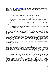Corinthian church, which had an abundance of these gifts, was the most carnal of all of Paul's churches (1 Corinthians 3:1). God could surely give these gifts to people today if He so willed, but we believe God has made it plain in the unfolding of His purpose that He does not will to give them now.

### **WHAT ARE THE SIGN GIFTS?**

Are all of the gifts in I Corinthians 12:28-30 sign gifts? Let us see.

And God hath set some in the church, first apostles, secondarily prophets, thirdly teachers, after that miracles, then gifts of healing, helps, governments, diversities of tongues.

We contend that Paul's list of gifts in Ephesians 4:11 are the abiding gifts for the Body of Christ. There we read:

And he gave some, apostles; and some, prophets; and some, evangelists; and some, pastors and teachers.

It will be seen that this listing is almost identical with the first part of the Corinthian passage, but it omits the gifts of miracles, healing, helps, governments, and tongues. These latter gifts we would classify as sign gifts, but apostles, prophets, and teachers are men.

When Ephesians was written there were apostles and prophets still alive and manifesting their gifts, but all such have now passed off the scene. We have no living apostles and prophets today, but we do have the revelation which God gave through them. Apart from these gifts we would have no Scripture for the Body of Christ. Actually then, the only ministry gifts which God dispenses today are those of evangelists and pastors and teachers.

We feel some dispensationalists make a serious mistake in supposing the Lord's Supper, mentioned in the chapter before the sign gifts, passed away along with the signs. They argue that the Supper was Israelitish, that it was instituted before the church which is His Body began, and that it is just as contrary to the will of God to practice it today as to claim the gift of tongues. In our last study we stated briefly some of the reasons why we believe the Lord's Supper is for the Body of Christ today. Let us notice a few further points.

As we have just pointed out, not even all of the gifts of 1 Corinthians 12 had passed away in Ephesians, but just the sign gifts. We might as well eliminate the gospel, which Paul describes right after talking about the sign gifts, as to eliminate the Supper. Paul uses identical terminology in describing how he received both the Lord's Supper and the gospel, and how he had delivered them both to the church. We can understand how those who begin the Body after Acts 28 eliminate the Lord's Supper, but we cannot understand how one who admits the Body of I Corinthians 12:13 is the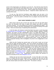church of this dispensation can eliminate it; yet some do. Paul told the church that the Supper was to show forth the Lord's death *till* He come. He never said that the signs or water baptism were to continue *till* he come. Had the Supper been temporary, as were the signs, we are sure Paul would have said so. Instead he makes it plain that it is to continue *till* He come.

To sum up, Paul told the Corinthians water baptism was not even in his commission, the sign gifts were to cease, and the Lord's Supper was until Christ returns for the church. Let us be careful to eliminate from our program only that which Paul eliminated.

#### **WHAT ABOUT MODERN CLAIMS?**

What answer shall we give to those who claim they have the sign gifts today? Are there not thousands who claim to speak with tongues and claim to perform miraculous hearings. Yes, and doubtless this movement is spreading like wildfire. This does not prove, however, that these manifestations are actually the working of the Spirit of God. There are several ways of explaining these phenomena.

In the first place, the Scripture reveals that Satan has power to work lying signs (2 Thessalonians 2:9; Revelation 13:14). Since Roman Catholics, Spiritists, Christian Scientists, and others all claim authenticated cases of so-called faith healing, it is evident not all healing miracles are from God. If Satan is energizing in these false cults, may he not also deceive even Christians to get them on the wrong track and away from God's purpose in this dispensation? Then, of course, there is no doubt many supposedly miraculous hearings are of a psychosomatic nature. Finally, the majority of cases of supposed hearings, when investigated, are proven to be exaggerated or even fraudulent.

While the gift of healing has passed away, as Paul said it would, we do have today what we might call elective healing. God is the sustainer and upholder of all life. We have full confidence in the efficacy of prayer, and we are sure God restores people to health when it is His will. Practically all so-called "divine healers" begin with the false premise that sickness is the result of unfaithfulness or sin, and that it is not the will of God that many of His people should be sick. There are many scriptural proofs to the contrary. Paul's thorn in the flesh, which he called an infirmity, apparently plagued his body to the end (2 Corinthians 12:5-10). Timothy was Paul's most faithful co-worker, yet he was often sick (1 Timothy 5:23). Trophimus, another faithful servant, had to be left behind sick (2 Timothy 4:20). Epaphroditus became deathly sick because he labored so fervently for the Lord (Philippians 2:25-27).

Healing was just one of the several sign gifts. If one of the gifts is here today, there is no reason why all of them should not be. Generally the only ones we hear about now are healing and tongues. Why can't these people who claim to have such gifts also cleanse lepers and raise the dead to life? The answer is obvious.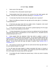## **S T U D Y Nine** *- REVIEW*

1. Name some of the sign gifts.

2. According to Paul, what people required signs?

3. Pentecostalists teach that everyone who receives the Holy Spirit speaks with tongues. How does this compare with Paul's teaching in I Corinthians 12:30?

4. To what does Paul liken the time when the sign gifts were in operation?

5. What is the difference between the sign gifts and the other gifts in 1 Corinthians 12 and Ephesians 4?

6. If God had cast away Israel with one sudden stroke of judgment, what would have happened to the Pentecostal program of signs?

7. In the record of the book of Acts, do we find a gradual tapering off of the signs ministry, or does it stop suddenly at Acts 28:28?

8. To what characteristic in the nature of God can we attribute the fact that although Paul wrote what he did in I Thessalonians 2:14-16 in about 54 A.D., Jerusalem was not actually destroyed until 70 A.D.?

9. Some people think the statement "when that which is perfect is come" (1 Corinthians 13:10) means when we get to heaven. Do you think the Bible teaches that heaven comes to us, or that we go to heaven? If this view were correct, then the sign gifts should last until the coming of the Lord; and faith, hope, and love would abide in heaven. Do you think faith and hope will abide in heaven? (See Romans 8:24; 2 Corinthians 5:7.)

10. How would you answer the claim that we could exercise these sign gifts today if we were spiritual enough in our walk?

11. You will notice that water baptism is always associated with signs or miracles in some way. Is this true of the Lord's Supper? How would you prove from Scripture that the Lord's Supper did not pass away with the sign gifts?

12. If we believe the gift of healing has passed away, is there any sense in praying for the sick?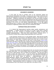# **STUDY Ten**

### **ARGUMENTS ANSWERED**

In this study we want to consider some of the arguments against the dispensational interpretation of the Bible. Everyone who tries to teach others this truth will meet with opposition of some kind from established religion. The reason for this is self-evident. Traditional Christendom has departed so far from the Pauline revelation given to us in the Scripture that a return to this distinctive truth will of necessity reveal its shortcomings and flaws. If one is going to defend many of the traditional practices and teachings of the church, he must oppose dispensationalism. In the fight against dispensational truth, a number of stock arguments have apparently been invented for the purpose of frightening seekers away from even studying the subject.

### **DISPENSATIONALISM IS DIVISIVE**

It is claimed that dispensational teaching makes people cantankerous and argumentative. It divides churches and leaves in its path a great deal of spiritual wreckage, we are told. Scripture is sometimes quoted in defense of those who castigate dispensationalists - "Mark them which cause divisions" (Romans 16:17). It thus becomes Christian duty to oppose dispensationalists and to avoid them.

In this argument, Romans 16:17 is only partially quoted. What did Paul actually say? "Mark them which cause divisions and offenses *contrary to the doctrine which ye have learned;* and avoid them." Everyone should know that *truth,* as well as *error,*  causes divisions. Christ Himself said He had come to bring division (Luke 12:51). Three times John tells us that there was a division among the people because of Christ (John 7:43; 9:16; 10:19). Christ split things wide open wherever he went, and so did the apostle Paul. Martin Luther and all of the great Reformers caused divisions, but they were not divisions "contrary to the doctrine" of the Scripture. None of these men had as their purpose to cause division, but division was inevitable when truth and error met and men took sides.

Churches have divided over dispensational truth, but churches have also divided over many other truths. It is a sad condition when a church divides, but if it is simply a case of true or false doctrine, who is to blame for the division? The ones who hold to the truth or those who cling to error? It must be proven that dispensationalism is unscriptural before this argument has any weight at all. Most divisions in churches are caused by the carnal nature of believers. Dispensationalists and nondispensationalists, Baptists and Presbyterians, all Christians, in fact, have carnal natures. If some of these are walking in the flesh and thus causing divisions, it is not some particular truth to which they subscribe which is to blame for the trouble, but they themselves. Dispensationalism which is scriptural is no more to blame for divisions among believers than is the doctrine of the virgin birth or the deity of Christ.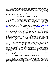We are instructed, if it be possible, as much as is in us, to live peaceably with all men. We are to endeavor to keep the unity of the Spirit in the bond of peace, with all lowliness and meekness, with longsuffering, forbearing one another in love. But we are also to contend earnestly for the faith, and to endure hardness as a good soldier of Jesus Christ. There is absolutely nothing in the nature of dispensational truth itself which would cause an ugly spirit.

#### **DISPENSATIONALISM IS NOT SPIRITUAL**

Failing in the first argument, anti-dispensationalists claim dispensational Bible study is too technical. It is too cut and dried; it pigeonholes the truths of Scripture too neatly; it robs the believer of the spiritual content of the Scripture. Our answer to this charge is that the same argument can be brought against any doctrinal study of the Bible. It is not the fault of any doctrine, but of the student. An unspiritual approach to any part of the Bible will produce a knowledge which merely "puffs up" (I Corinthians 8:1), which is but "sounding brass" or "clashing cymbal" (I Corinthians 13:1).

Any true students knows that there is much technical knowledge with almost every field of endeavor. Little Mary may argue that she can't see any sense in learning all the theory of music; all she wants to do is to play the piano. But in most cases it would be agreed that a good musician is one who not only can perform well, but who also knows something about music itself. It would be too bad if one spent his whole life studying the theory of music and never learned to play or sing or to enjoy music. And of course it is regrettable when a student of the Bible singles out any one doctrine and supposes that a study of it is an end in itself. Men study electronics to learn how to operate radar or guided missiles. We study dispensational truth to learn how God wants us to live and to minister in this present age.

Those who use this argument usually have a distorted idea of what constitutes spirituality. They seem to think only that which affects them emotionally is spiritual. They do not seem to understand that to be spiritual is to be filled with the Holy Spirit, to have the mind of the Spirit. People may appear to be pious, may be moved to tears, may pray in private and in public without exercising a speck of spirituality. God no doubt honors true sincerity, but spirituality does not put a premium on intellectual ignorance of the Word. The Word is the sword of the Spirit, and if we don't know it rightly divided, we cannot be as spiritual as we might otherwise be. Since dispensationalism gives the true interpretation of the Word, it can be one of the greatest aids to real spirituality.

#### **DISPENSATIONALISM ROBS US OF THE WORD**

This argument is very closely related to the one we have just considered. The charge is that dispensationalists say: "Oh, that's not for us; that's for the Jew." Some claim the dispensationalist takes most of the Bible away from the believer, and leaves him only with the Pauline epistles. Our critics tell people that if they accept our position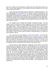they can no longer turn to the Psalms for comfort since those words were written to the Jews. We can't take anything out of the Gospels since Jesus ministered only to the lost sheep of the house of Israel.

Those who make this charge show their ignorance of dispensational truth. The true dispensationalist first of all affirms that *all Scripture* is given by inspiration of God, and is *all profitable* (2 Timothy 3:15, 16). He makes a careful distinction between the interpretation of a passage and an application of it. Any one passage has only one true interpretation, the literal and primary meaning, whereas it might have many applications. He tests all Scripture by the completed and final revelation given to the apostle Paul, and all truth from Genesis to Revelation which dovetails with Pauline truth he has every right to apply to himself.

For example, John 3 teaches the necessity of being born again. This was spoken to a ruler of the Jews in another dispensation. But Paul shows that a new birth (regeneration) is a necessary part of *our* spiritual experience; so we can apply John 3 in our ministry today. But we recognize that if we consider John 3 in its primary interpretation we must admit that when these words were spoken to Nicodemus water baptism was required as a work of faith for the remission of sins. There were also many other religious requirements. But it appears the Holy Spirit led John to omit mention of those things so that his Gospel could be applied to preaching today in a manner the other Gospels cannot be.

Our critics claim we rob the believer of much of the Scripture. Let us ask them what they do with such passages as Matthew 10:5-10, or 18:18, 19, or 23:1-3. Do they go only to the lost sheep of Israel? Do they heal the sick, cleanse the leper, or raise the dead? Do they make no provision of food or clothing or money for the morrow? Can they bind anything on earth and be sure it will be bound in heaven? Can any two of them agree on earth as touching anything they shall ask, and it shall be done for them? Do they obey Christ in submitting to every ordinance of the Mosaic Law?

We can hear our critics beginning to hedge and to say: "Well it's true Jesus commanded all of these things, but later on He changed some of His commands, and instead of telling His disciples to go only to Israel, He told them to go into all the world and preach the gospel." Now we have our critics right where we want them, because they are contending for exactly the same principle as is the dispensationalist. They must say the command of Matthew 10 was superseded by that of 28:19 and Mark 16:15, 16. If such an important commission could be rescinded and new marching orders be given by Christ within a period of three years, is it unthinkable that after another thirty, after Israel had rejected the proffered mercy of God and the offer of their Kingdom by the risen Christ, Christ could have again changed His marching orders? Of course, it is not so much a matter of whether it is thinkable or unthinkable, but whether the Scripture actually teaches that this is what did happen. We believe that in our past studies we have shown from Scripture God did begin a new dispensation with the apostle Paul.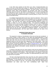It has often been pointed out that these very critics of dispensationalism are guilty of the very sin with which they charge us. Wherever they find the curses of God pronounced in Scripture they will place a heading, "The Jews Cursed." In the same Old Testament books where great blessings are promised, they place the heading, "Blessings upon the Church." We believe in allowing the Jew to have everything God has promised that nation, whether it be curses or blessings. In Paul we learn that we have been blessed with *all spiritual blessings* in heavenly places in Christ, so we do not need to rob Israel of hers.

An intelligent dispensationalist would never make the statement, "That is not for us; it is for the Jews." We believe every word of Scripture is *for* us, but we do not believe that every word of Scripture is *about* us, nor that it is written specifically *to* us for our obedience. Not even the most violent anti-dispensationalist believes Leviticus, for example, is written *to* us for our obedience today. If he would but intelligently and consistently use the same principle throughout Scripture which he does in eliminating the practices of Leviticus from the program of the church, he would be in perfect agreement with our position. But as suggested in our introduction, such consistency would bring him into too much opposition to traditional ritualism. He would have to break with denominationalism, and that might involve suffering for the sake of the Mystery.

#### **DISPENSATIONALISM IS AKIN TO HIGHER CRITICISM**

This argument is simply an intensification of the one we have just considered. A more serious charge is made, however, to the effect that dispensationalism is really destructive higher criticism working under the guise of fundamentalism. The destructive critics were men who set out to prove that the Scriptures were not written by the supposed authors at the time they were supposed to have been written. Only a few books were spared by these higher critics. Thus they just as effectively cut the whole Bible to pieces, as did King Jehoiakim the writings of Jeremiah (36:22, 23). It is claimed that what we call rightly dividing the word of truth accomplishes the same end which the destructive critics sought to accomplish, namely, leaving only a few epistles of Paul intact for the church.

In answer to this false and very unjust charge it need only be pointed out that the whole plan of dispensationalism takes for granted and is built upon the foundational fact of the divine inspiration of *all* Scripture. If the entire Bible is not inspired, if each book was not written at the time claimed in the Bible, the dispensationalist just doesn't have any basis left for his position.

The fact is that dispensationalism does more than any other segment of biblical endeavor to harmonize the various parts of the Bible and to thus show its divine unity and inspiration. As we pointed out in our first study, many outstanding teachers of the Bible have borne witness to this fact. One teacher quoted said that "dispensational classification can alone save truth from contradicting itself." Apart from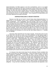dispensationalism, the Bible appears to be full of contradictions, and in or to explain these apparent discrepancies men have invented their various critical views of the Bible. Many of the critics have seen the differences in the ministries of Jesus and of Paul, for example, but they have tried to explain them on the basis either that Paul invented a new Jesus who was free from Jewish prejudice, or that the supposed writings of Paul were actually the product of a later generation. Once recognized, the dispensations and all of these differences are easily reconciled.

### **DISPENSATIONALISM IS A RECENT INVENTION**

Because very little can be found in church history about dispensationalism it is argued that it is an innovation, and as such it should be dismissed as unworthy of further consideration. "Isn't it regrettable," they ask ironically, "that no one in the past knew anything about these wonderful principles of dispensationalism until you twentieth century prophets discovered them?" Of course, the religionists of Luther's day in effect said the same thing about the doctrine of justification by faith. Every Protestant has to admit that the great doctrine of the Reformation had been practically lost to the church for many centuries. Rome claims that what we affirm to be a return to the truth of the Bible is only the following of a new heresy invented by Luther, just as our critics claim we are following the innovations of a few men like John Nelson Darby or C. I. Scofield or E. W. Bullinger.

Of course, these arguments are very easy to answer. All one has to do is to turn to the Bible itself, and just as surely as we find justification by faith plainly taught in Paul's epistles, we also find the truth of dispensationalism. In our English Bibles (KJV) we find the actual word "dispensation" four times, and the kindred root word appears a number of other times. Dispensationalism was known to and taught by the apostle Paul. He is the great dispensationalist of the Bible. There was not too much need for this principle of Bible study until Paul, because before Paul the revelations of God all concerned one and the same spiritual program - the subduing of the earth and the establishment of a kingdom of righteousness and peace upon it. When Paul came on the scene, God inaugurated an entirely new dispensation which concerned the outcalling of a body of believers for a heavenly position and inheritance. Paul shows in such passages as Romans 11 that this newly revealed purpose of God is being accomplished upon the basis of the temporary setting aside of the purpose which He had revealed by the mouth of all the holy prophets since the world began.

It is because men early turned away from the distinctive Pauline revelation that they also turned away from dispensationalism. These two things go hand in hand and cannot logically be separated. In the degree to which a man is Pauline he will be dispensational, whether or not he actually uses that word to describe his position. Many very bitter opponents of our position are actually quite dispensational, but they find themselves in a place in the ecclesiastical world where a subject like water baptism becomes a very delicate issue. Increasing numbers of such people, however, are coming to see that they cannot hold onto the water without giving up dispensationalism altogether. It may cost them something in the way of persecution and opposition, even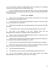as it cost the earlier advocates of dispensational truth for standing for the seemingly simple and well-accepted truths of fundamentalism today.

There are doubtless other minor objections which men have expressed against the teaching which we are seeking to uphold, but we believe what has been said covers the major arguments.

## **S T U D Y Ten** *- REVIEW*

1. While we are not to judge the motives of others, what seems to be the reason most people object to dispensational truth?

2. In what sense only is it true that dispensationalism is divisive? What is the cause of most of the divisions in Christendom?

3. What kind of knowledge does an unspiritual approach to any doctrine of the Bible engender?

4. Is it missing the mark to make the study of dispensationalism an end in itself?

5. How does a true definition of the term "spiritual" prove that true dispensationalism contributes to spirituality instead of detracting from it?

6. What is wrong with making the following statement about a certain part of the Bible: "That is not for us; that's for the Jew"?

7. What rule does the dispensationalist follow in seeking to apply other Scriptures to himself besides those addressed specifically to us today?

8. How can it be shown that actually all Christians are dispensational to a degree?

9. What do we mean by higher criticism? What is the difference between what the higher critic does to the Bible and what the dispensationalist does?

10. Who invented dispensationalism?

11. Why was there not much need for the dispensational principle before Paul?

12. List any other objections which you have heard people voice against dispensational truth, and then try to answer them from Scripture.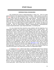#### **DISPENSATIONAL BOUNDARIES**

We considered the extent of dispensationalism in Study Two. There we made special reference to the dispensational chart of the Bible. It will be well for us to refer to the [chart](#page-77-0) again as we work our present study. In most of the past dispensations the boundary which marks the beginning is quite clearly defined. Innocence began with man's creation; Conscience began with man's fall; Human Government began with Noah after the Flood; Promise began with Abram; Law began with Moses at Mt. Sinai. When we come to the beginning of the present dispensation, however, the case is not so simple. There are many problems which confront us. Our solution will determine whether we shall be Pentecostalists, Baptists, posttribulationists, pretribulationists, scriptural dispensationalists, hyper-dispensationalists, or something else.

It is very natural that there should be many problems with the beginning of our dispensation because of its proximity to the greatest event in human history - the incarnation, ministry, death, burial and resurrection of the Son of God. We learn from Paul that the Cross is central in all of God's dealings with sinful man throughout all dispensations. Hence it has seemed only natural to feel that the coming of Christ into the world must mark the beginning of the greatest and the last of God's dispensations. What dispensation could surpass or eclipse that which Christ Himself inaugurated? This has undoubtedly been the approach of the amillennialist, for he believes the Gospel dispensation is the final one in God's dealings with mankind on earth. Others have felt since the Cross is the culmination of Christ's work, that event, or the closely related one of the outpouring of the Holy Spirit at Pentecost must mark the starting boundary of our dispensation. After all, does not Paul teach it was by the Cross that God reconciled both Jew and Gentile in one body (Ephesians 2:16)? Where, it will be asked, can any subsequent event be found sufficiently great to mark the beginning of this dispensation of the Grace of God? These are some of the questions which we must face and answer if we would know just where our dispensation began.

In studying our [chart](#page-77-0) it will be seen there is considerable detail shown between the birth of Christ and the beginning of the dispensation of the Mystery. First we note Christ "was made of a woman, made under the law" (Galatians 4:4), and that He "was minister of the circumcision" (Romans 15:8). The Gospels relate that Christ Himself taught He was "not sent but unto the lost sheep of the house of Israel" (Matthew 15:24). Although the Incarnation was the most stupendous event in human history up to that time, it is also true the ministry of the incarnate Son of God was limited to one small nation and that it transpired under the dispensation of Law. It was a ministry of *confirmation* of the promises made unto the fathers of the nation Israel, as Romans 15:8 goes on to say. It was not the beginning of a new dispensation, but the culmination of the old. The work of redemption had not yet been accomplished and the Holy Spirit had not yet been given. Both of these facts, and many more, are essential to the beginning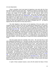of a new dispensation.

There is, therefore, much more basis for beginning a new order after the Cross and with the outpouring of the Holy Spirit. Probably the majority of expositors take the view this is where our dispensation began. They would agree that the earthly ministry of Jesus was related to the Israelitish "kingdom of the heavens" which will be established when Christ returns as King of kings. Since Jew and Gentile have been reconciled in one body by the Cross (Ephesians 2:16), and since Jew and Gentile have been baptized by one spirit into the one Body of Christ (I Corinthians 12:13), it appears self-evident to many Bible students that the present dispensational order must have begun at Pentecost, which followed the Cross by a comparatively few days. Where else could they have been baptized by the Holy Spirit? (Compare Acts 1:5 - "ye shall be baptized with the Holy Ghost not many days hence.")

The chief objection to this theory for the beginning of the new order is the revealed fact that at Pentecost God was not beginning the dispensation of the Mystery (which by definition means it was never before revealed), for Peter plainly states that that which God was doing was that which all of the prophets had foretold since the world began (Acts 3:21, 24). Had God not revealed exactly what He was doing at Pentecost, we might speculate. We know the death, burial, and resurrection of Christ and the work of the Holy Spirit are essential to the formation of the Body of Christ and to the beginning of the dispensation of the Mystery, but these things are just as essential to the establishment of the millennial kingdom. And Peter makes it very clear that what God was doing at Pentecost was with a view to establishing the long prophesied and promised kingdom, not to the beginning of a unique and entirely unprophesied Body of Christ.

We have spoken about the centrality of the Cross. We must bear this in mind when dealing with Ephesians 2:16. Paul does not state, as so many seem to think, that Jew and Gentile were reconciled in one Body at the time of the Cross, but *by* the Cross. This means it was through the instrumentality of the Cross. Many things have been done and will yet be done through the instrumentality of the Cross which were not done at the time of the Cross. When a sinner is saved today, it is *by* the Cross, but no one would claim he was saved at the time of Christ's death. Just so, Hebrews 2:14 states that Jesus Christ partook of flesh and blood "that through death he might destroy him that had the power of death, that is, the devil." But was Satan destroyed at the time of Christ's death? Potentially, yes; just as that death is the basis for all of God's workings in redemption. But historically the answer is no, for years after that death Peter wrote that the Devil was going about as a roaring lion, seeking whom he may devour (1 Peter 5:8). John even later tells us about a war that is yet to be fought in heaven, when the Devil and his angels will be cast out into the earth (Revelation 12:9). Satan's final and complete overthrow at the end of the Millennium is going to be *by* the Cross, just as the Body of Christ has been formed *by* the Cross, but neither of these events took place historically at the time of the Cross.

In spite of these scriptural reasons, some will still contend the Body of Christ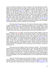must have started at Pentecost, for there the baptism of the Holy Spirit first took place. Again we must scratch below the surface and see exactly what the Bible says. It is evident that whatever work of Holy Spirit baptism took place at Pentecost, it was that which John had predicted (Acts 1:5). Matthew 3: It tells us John preached, "He shall baptize you *with* the Holy Ghost, and with fire." In this baptism Jesus Christ is the Baptizer, and He baptizes with the Holy Spirit. Paul tells us in I Corinthians 12:13 that "by one Spirit are we all baptized into one Body." Here the Holy Spirit is the Baptizer. The Bible never confounds the Persons of the Trinity. The Holy Spirit does not send the Holy Spirit; neither does Christ baptize into Christ. Christ baptized with the Spirit at Pentecost, which resulted in their being endowed with miraculous power (Acts 1:8; Luke 24:49). The Holy Spirit baptizes us into Christ, which results in our being made members of His Body. These are evidently two separate and distinct works of baptism. Two associated facts will help to make this even more evident.

Peter interpreted this baptizing work of the Spirit at Pentecost to be the fulfillment of Joel's prophecy (Acts 2:16). According to Ephesians 3:5, 6, the fulfillment of Joel's prophecy could not have marked the beginning of the Body of Christ "which in other ages was not made known unto the sons of men." Also Peter identifies Pentecost with "the *last days"* (Acts 2:17). If Pentecost ushered in the *last days* prophesied by Joel, it is difficult to see how Pentecost could have been *the first days* of the Body of Christ.

Referring to our [chart](#page-77-0) again, we note that the first twelve chapters of Acts are labeled, "Gospel of the Circumcision Concerning the Kingdom." This section begins, as we have just seen, with the ushering in of the last days, which means that the first days of the Kingdom must have been close at hand. Peter made the return of Christ to establish the Kingdom to be conditional upon Israel's repentance (Acts 3:19-26). The nation did not repent - its leaders incarcerated the apostles and stoned Stephen to death. By the time of Acts chapters 7 and 8, it is evident that Jerusalem had given its answer to God. The offer of the Kingdom had been rejected. Severe persecution had been instigated against all of the followers of Jesus. From this point on to the end of Chapter 12 there is no statement to tell us exactly what God was doing or just what He was going to do.

There were two very important events in this period, however. The first was the conversion of the chief of the persecutors, Saul of Tarsus, and after that the sending of Peter to preach to Cornelius, the first Gentile convert. Some feel these two events intimate that God was beginning something new, although it is admitted there was no direct revelation of the fact as yet. It cannot be denied that God was making preparation for something new, for He was saving the man who was to become the apostle of the new dispensation, and He was sending salvation to some Gentiles before Israel was converted.

Saul was converted about seven years after Pentecost. A year later Peter was sent to Cornelius. In the meantime Saul had gone to Arabia, returned to Damascus, and after three years had gone up to Jerusalem to see Peter (Galatians 1:17, 18). After that he went back to Syria and then to his home territory of Cilicia (Galatians 1:21)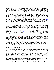where he apparently continued to preach Jesus to his fellow Jews. A church had sprung up in Antioch of Syria as a result of the preaching of these Jews who had been scattered by the Jerusalem persecutions. Barnabas was sent by the Jerusalem church to investigate this new work. Upon seeing this was a real work of God, he went to Tarsus in search of Saul and brought him back to Antioch, where they ministered together for a whole year (Acts 11:22-26). The church then sent Barnabas and Saul to Jerusalem with relief for the Jewish saints in Judea who had been hard hit by the great famine. About this time Herod had put James the brother of John to death and had tried to kill Peter. As Herod sat upon his throne and made an oration, the people who had rejected Jesus Christ as their Messiah gave a shout, saying, "It is the voice of a god, and not of a man." The angel of the Lord immediately smote him and he died (Acts 12:23). This sorry event winds up God's dealings with Jerusalem. Saul and Barnabas return to Antioch, and from this point on the book of Acts is occupied with Paul and his new ministry.

Thus some seventeen years after Pentecost and ten years after Saul's conversion, the Holy Spirit said to the prophets and teachers at Antioch, "Separate me Barnabas and Saul for the work whereunto I have called them." Saul had been saved for ten years before God separated him to his distinctive ministry in the dispensation of the Grace of God. He now goes forth on his missionary journeys, and the door of faith is opened unto the Gentiles (Acts 14:27). This great event, we believe, is the beginning of this present dispensation of the Grace of God, which is also called the dispensation of the Mystery because it was a secret, heretofore unrevealed purpose of God.

Referring to the [chart,](#page-77-0) it will be seen that while Paul's separation in Acts 13 marks the beginning of our present dispensation, the remainder of the book of Acts, covering some twenty years, is a period of transition. Paul was saved during the previous period of introduction to and preparation for the millennial kingdom. There were thousands of Jewish believers, as well as the twelve apostles, who were in the same circumstances. God did not immediately overthrow the existing order to make place for the new. In fact, there was much which did not need to be overthrown or changed. While Paul preached the same Jesus and the same death upon the cross as did the Twelve, he preached it with a new meaning, for God had revealed to Paul the secret of His will (Ephesians 1:9).

The closing boundary line of this dispensation is the Rapture described in I Thessalonians 4:13-18 and I Corinthians 15:51, 52. This will happen in an instant of time and will result in the removal from the earth of the entire Body of Christ, both living and dead. This will be followed by the period of Tribulation upon the earth. We do not believe the Body of Christ will experience any part of this Tribulation, and that for at least two reasons. The Tribulation is one of the most prophesied periods, whereas this dispensation was not predicted. The Tribulation is an entirely different dispensation from that of the Grace of God. When the Body of Christ, which is basically the Mystery, is removed from earth, there will be no further dispensing of the Mystery.

The chart shows that the dispensation of the Kingdom will be set off in its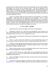boundaries by the Second Advent of Christ at the beginning, and by the final rebellion and judgment at the end of the thousand years. This will be followed by the dispensation of the Fullness of Times, in which there will be new heavens and a new earth. There is no record that this dispensation will ever end. Its very name implies an endless duration, for it is the dispensation of the filling up to completion of the times. It is the final and eternal state of all of the saved when all things in heaven and earth will have been headed up in Christ.

Most of our present study has been devoted to the boundaries of our present dispensation. There have been two reasons for this emphasis. First, it is more important for us know about our own dispensation than some other one. And second, the beginning of our dispensation has many more complications than that of any other period. If we know when our dispensation began and with what event it will end, we will be able to render a much more intelligent service to our Lord. Our service must first of all be a spiritual service, but it must be an intelligent one as well.

# **S T U D Y Eleven -** *REVIEW*

1. State what events mark the boundaries of the first four dispensations.

2. According to Hebrews 8:13, what was it that brought the Law covenant to an end? Did the Jewish believers have this fact revealed to them during the first part of the Acts period? (See Acts 2:46; 3:1; 5:12; compare Acts 21:20.)

3. Why are there more problems connected with the beginning of this dispensation than with any other?

4. What is a person called who believes the present dispensation began with Christ's earthly ministry and that there will be no Kingdom dispensation after this one?

5. Although we might naturally have expected that when God sent His Son into the world He would have manifested Himself in a glorious display of power to all peoples, what does the Scripture actually reveal?

6. What two great events had to be accomplished before there could have been either the present dispensation or that of the Kingdom?

7. Do you think Peter had any doubt about what was happening at Pentecost, according to Acts 2:16? Did he say anything about God beginning an entirely new and unprophesied dispensation?

8. What is the difference between that which was done *at* the Cross and that which was done *by* the Cross?

9. Compare the Holy Spirit baptism at Pentecost and the baptism described in 1 Corinthians 12:13. Explain the difference between the Persons doing the work and the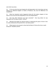work which was done.

10. If it be true that God was bringing the old dispensation into its last days and was offering the millennial kingdom to Israel at Pentecost, why was the Millennium not established?

11. What two important events happened during the first twelve chapters of Acts which we can now see were preparatory for the new dispensation?

12. How long after Pentecost was Saul converted? How long before he was separated unto his special "grace" ministry?

13. Although Paul began his special ministry in dispensing the grace of God in Acts 13, what characterizes the period of the next twenty years?

14. What reasons can you give to show that the Body of Christ will not be on earth during the Tribulation period?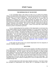# **STUDY Twelve**

#### **THE DISPENSATION OF THE MYSTERY**

In our concluding study in this series we want to try to answer the question, "What is the dispensation of the Mystery?" We have learned that that is the name which the Bible gives to our present dispensation. We have discovered why it is called the Mystery - because it was a purpose which God had kept as a secret from all generations of mankind until it was revealed through the apostle Paul. We have understood from Ephesians 3 that it is also called "the dispensation of the Grace of God" because all of God's working today is based purely upon grace and not upon the kingdom covenants and promises. We have not, however, examined the particular practices which are basic to this dispensation - a word, as we have seen, which means the laws by which a household is governed.

It is our understanding that the revelation of this dispensation is to be found only in the Pauline epistles and that everything essential to it is to be found in this body of Scripture. As we have pointed out before, all Scripture is profitable for us, some in one way and some in another. Throughout the Bible we learn the many great unchanging truths about God, as well as discovering His methods of dealing with mankind in other dispensations. We can hardly understand and appreciate this present dispensation without having a knowledge of all of the others. But when it comes to the content of God's spiritual program for today, we believe this is to be found in its completeness in Paul's epistles. This conviction is based upon Paul's own claims of being the vessel through whom God made known the Mystery (Ephesians 3:25; Colossians 1:24-27; Galatians 1:11, 12; Romans 16:25).

In this study we want to look at our present dispensation from the viewpoints of salvation, standing, supply, and service.

#### **SALVATION**

When we examined the study on the various gospels in the Bible we learned that God's requirements for salvation, as far as man is concerned, have not been the same in all dispensations. We saw, however, that God has revealed to us today through Paul's epistles the one and only basis upon which He has been able to offer salvation in any dispensation. That basic fact is, of course, the vicarious death and resurrection of Jesus Christ. Romans 3:25 makes it plain that Christ's death is the basis not only for the forgiveness of our sins, but also for the forgiveness of the sins of past ages. This underlying secret of God's method of dealing with sin was not made known until it was revealed through Paul.

God had made known other facts about salvation previously. It has been a basic fact throughout all dispensations that "without faith it is impossible to please Him"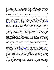(Hebrews 11:6). In pre-Cross days God required the offering of animal sacrifices for the forgiveness of sins. There is nothing in Scripture to intimate that these people understood their sacrifices were a foreshadowing of the once-for-all sacrifice of Jesus Christ. We now know that they were, however, by the revelation given in the epistles. Nevertheless, these sacrifices did plainly teach the idea of substitution or vicarious suffering. The worshipper laid his hands upon the head of the animal, thus identifying himself with the animal, and then killed the animal (Leviticus 1:4, 5).

This was not salvation by works, although certain works were required as an expression of faith. God told the people their sins would be forgiven if they would offer the sacrifices He had prescribed. If they believed God they would indeed offer the required sacrifices. But the sacrifices in themselves did not save. This is evident from the fact many people offered sacrifices without real faith and were not saved (Isaiah 1:11-13; Jeremiah 6:20). The Old Testament made it plain that to obey is better than mere animal sacrifices (I Samuel 15:22). And of course in Hebrews 10:4 we learn it was not possible that the blood of bulls and of goats should take away sins. Nevertheless God required various sacrifices and ceremonies as expressions of faith.

Most Christians can understand the truth about the Old Testament animal sacrifices but they cannot understand the truth about water baptism. The Old Testament, we are told in Hebrews 9:10, had its standing in meats and drinks and "divers baptisms." Baptism ordinances were an integral part of the Law. Christ lived His life under the Law. He along with His disciples observed all the ceremonies of the Law. John's baptism, and later the baptism which Christ commanded His apostles to practice, were expressions of faith on the part of believers just the same as the other ordinances were. They were required for salvation just as much as the sacrifices were. The word in the commission to the Twelve was, "He that believeth *and* is baptized shall be saved" (Mark 16:16). The Pentecostal message was, "Repent and be baptized every one of you in the name of Jesus Christ *for* the remission of sins" (Acts 2:38). Christ's word to Saul was, "Arise, and be baptized, and wash away thy sins" (Acts 22:16).

Baptism never saved anyone, but it was required as an obedience of faith under the Pentecostal order. Only unbelief would have refused baptism. But in this Present dispensation of the Mystery, salvation is wholly by grace and entirely apart from works, both the works of the Law (Romans 3:20-22) and the works of righteousness (Titus 3:5). Just as definitely as God once required certain works as an expression of faith, just so definitely He requires we now come for salvation entirely apart from any works with all of our faith in the finished work of Christ - "For by grace are ye saved through faith, not of works, lest any man should boast" (Ephesians 2:8, 9). God has always showed grace to mankind, but because salvation today is wholly by grace apart from all works, this dispensation of the Mystery is also called the dispensation of the Grace of God (Ephesians 3:2).

Another factor which makes this the dispensation of the Grace of God is the position into which the whole world has been brought. God long ago gave up the Gentile world and confined His special dealings to the one nation Israel. Israel had a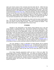claim upon God by reason of the covenants God had made with her. While God was showing a certain amount of grace, it was limited to only one nation. As long as Israel stood as the favored nation there could not be a dispensation of pure grace. One of the determining factors in the beginning of this present dispensation was the casting away or the fall of Israel (Romans 11:12, 15). When this took place, all nations had been cast aside by God so that no one in the whole world had any claim upon God. As Galatians 3:22 puts it, "The Scripture hath concluded *all* under sin, that the promise by faith of Jesus Christ might be given to them that believe." Romans 11:32 states this same truth, "For God hath concluded them all in unbelief, that he might have mercy upon all."

Thus we see that in this dispensation the whole world has been leveled before God. The Jew has no more claim than the Gentile. If anyone out of this guilty world is ever to be saved, it must be wholly by grace. And that is exactly the situation. How aptly does Paul call this - the dispensation of the Grace of God.

## **STANDING**

Salvation in this dispensation of the Mystery brings believers into a new and unique position or standing before God. They become members of the Body of Christ. As we have seen, this is the name for God's church in this present dispensation. This Body did not exist prior to this dispensation, except in the mind and purpose of God. Historically it came into being when God cast Israel aside and inaugurated the present dispensation. It is important to see this had happened before Paul wrote his first epistle. The fact is plainly recorded in Galatians and Romans, both written during the Acts period, and in his earliest epistle where Paul says of Israel, "for the wrath is come upon them to the uttermost" (I Thessalonians 2:16). This new position as members of the Body of Christ is also plainly described in Paul's earlier epistles (Romans 12:5; 1 Corinthians 12:13, 27). Acts 28 does not mark the beginning of a new dispensation or of the Body of Christ, as some extremists contend, but rather the end of a transition.

This new standing in Christ is described as being blessed with all spiritual blessings in heavenly places in Christ (Ephesians 1:3). It is based upon the doctrine of identification. In being baptized by the Spirit into Christ, we have been baptized into His death, burial, and resurrection (Romans 6:35; Colossians 2:10-12). Ephesians 2:6 tells us we have not only been raised up with Christ, but we have been given a seat with Christ in heavenly places.

All of these heavenly possessions which we have in Christ are called "the unsearchable riches of Christ" (Ephesians 3:8). This means not merely that they are beyond estimation but that they cannot be traced out in the Old Testament Scriptures. This whole truth of unto what we have been saved is a part of the great Mystery which was revealed to and through Paul. Surely we can find no more fitting a term to describe this glorious position than that which Paul employs in Ephesians 2:7, "the exceeding riches of His grace"!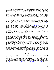## **SUPPLY**

By supply we mean the equipment God has given us for the spiritual life in this dispensation of the Grace of God. This supply stands in sharp contract with that of the Law dispensation. The Law made all of its exacting demands upon the flesh. Man had to muster sufficient strength in himself to measure up to God's holy demands. Of course, no one (except Jesus Christ) ever measured up to the righteousness of the Law. Instead, the Law brought in the whole world guilty before God and the conclusion is inescapable, "therefore by the deeds of the law there shall no flesh be justified" (Romans 3:20).

Under the dispensation of Grace, God does not make any demands of the flesh. Instead, as we have just seen, God identifies the believer with Christ. Therefore he should reckon himself to be dead indeed unto sin but alive unto God (Romans 6:11). The believer is not in the flesh but in the Spirit (Romans 8:9). He is called upon to walk in the Spirit so that he will not fulfill the lusts of the flesh (Galatians 5:16). The believer's supply is nothing short of Christ Himself indwelling the believer by means of the Holy Spirit. Thus Paul could say, "I live; yet not I, but Christ liveth in me" (Galatians 2:20). The indwelling Christ is the believer's armor as described in Ephesians 6:11-18. There he tells us to put on the whole armor of God. In Romans 13:11-14 he speaks of the armor again, but here he says, "Put ye on the Lord Jesus Christ, and make not provision for the flesh, to fulfill the lusts thereof."

The life under grace is nothing short of a supernatural, heavenly walk. The nature of flesh cannot even begin to approximate its requirements. The flesh must be reckoned dead and God's divinely given supply must be relied upon. No one but Christ can live the Christian life, and He lives in the believer today for this very purpose. Right here we can see a contrast between the present and the coming Kingdom dispensation. Today we are given the Spirit and told to walk in the Spirit and to be filled with the Spirit. In the coming Millennium, the Spirit will also be given in fulfillment of the New Covenant, but from Ezekiel 36:27 we learn this - "And I will put my Spirit within you, and *cause you*  to walk in my statutes, and ye *shall* keep my judgments, and do them." It appears from this, and from the foretaste of this experience at Pentecost, that God will so take possession of these Jewish believers that they will be caused to do God's will, much the same as will be our experience in glory after the resurrection. Today it is our privilege to yield to the Spirit of God and live a Spirit-filled life, but we have the power to refuse and to walk on a carnal plane, even as did the Corinthians (1 Corinthians 3:1-4).

## **SERVICE**

Anyone who makes a study of the words related to service in Paul's letters will have no difficulty in understanding that service was to be rendered primarily to God. He calls himself a servant of Jesus Christ. He told slaves to be obedient to their masters, "not with eyeservice, as menpleasers; but as the servants of Christ" (Ephesians 6:6). Over and over he speaks about serving God and with goodwill doing service as to the Lord (Galatians 1:10; Romans 6:22; Colossians 3:24; 1 Thessalonians 1:9). Paul tells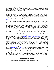us, "Ye are bought with a price; be not ye the servants of men" (I Corinthians 7:23). Since we are not our own we owe all of our service to our Master, Who is Christ. When we serve Him we will be serving others also, but it is easily possible to serve men in religious matters without ever serving Christ.

In past dispensations, specially that of the Law, service consisted almost wholly in the ritual of the priesthood. One whole tribe was set aside in Israel to do nothing but accomplish the service of God. Hebrews 9:9 makes it plain, however, that these priests who did this service were never made perfect. They had to offer often times the same sacrifices, year by year continually, which could never take away sins (Hebrews 10:1,  $11$ ).

Our service today is rendered on the basis of the finished work of Christ. Since the work is completed, there is now no place for an order of priesthood or sacrifices. Under Moses it was "meats, and drinks, and divers baptisms" (Hebrews 9:10), but under grace we have nothing to do with the practice of any such ordinances. Although ritualistic denominations have made a sacrifice and a sacrament and an ordinance out of the Lord's Supper, God never made it that. Unfortunately the King James translators read this idea into I Corinthians 11:2 and called the Lord's Supper and other of Paul's divinely given instructions by the name of "ordinances." The word actually means things delivered. See any revision or marginal reading, as in the *Scofield Reference Bible.*

Very closely related to the believer's service is his commission. One of the great blunders of the church has been in trying to follow the so-called Great Commission given by Christ to the Twelve. (See Matthew 28:19, 20; Mark 16:15-18). The only thing this commission has in common with ours is that it is worldwide. In every other detail it is different. It commands the preaching of the gospel of the Kingdom with a view to establishing the millennial order, whereas our commission commands the preaching of the gospel of the grace of God with a view to building the Body of Christ. It included signs connected with serpents, poison, healing the sick, and raising the dead; ours has nothing to do with these things. By trying to follow the Kingdom commission the church has been led into all kinds of fanaticism and error. The commission for the Body of Christ will be found throughout Paul's epistles. Perhaps one of the clearest statements of it is in 2 Corinthians 5:14-21. Remember, these instructions of Christ through Paul were spoken from heaven years after Christ gave the Kingdom commission.

In closing this series of studies you should be aware of the great importance of interpreting the Bible dispensationally. You should have a fairly clear understanding of God's overall plan. And it is to be hoped you have learned what God's dispensation for us is, and that you have submitted yourselves to His current program to be used in His service.

## **S T U D Y Twelve -** *REVIEW*

1. Why is our dispensation called the dispensation of the Mystery?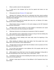2. What is another name for this dispensation?

3. In what part of the Scripture will we find the special truth about our own dispensation?

4. What great truth does Romans 3:25 make clear?

5. Although Old Testament saints did not understand that their animal sacrifices were types of the coming sacrifice of Christ, what must they have understood to be the meaning of their offerings?

6. If animal sacrifices could not actually take away sins, as Hebrews 10:4 states, what was the sense in offering them?

7. What Scripture shows us baptism is in the same category as the Old Testament meat and drink ceremonies?

8. Although neither animal sacrifices nor water baptism in themselves ever saved anyone, in what sense were they necessary for salvation?

9. What does God ask us to do today as an expression of faith for salvation?

10. Why could there not be a dispensation of Grace as long as God was dealing only or primarily with His specially privileged nation Israel?

11. What event in God's dealings with Israel really marks the beginning of this present dispensation?

12. What standing do believers today have before God that people have never before had or ever will have in future dispensations?

13. Through what act of the Holy Spirit does the believer come to possess all of the blessings which belong to Christ?

14. Do you think God expected a more righteous life of the people under the Law than He does now under grace?

15. Which people do you think had or have the greatest advantage in being able to live a life well pleasing to God, those under Law or under grace? Why?

16. If all believers today have Christ indwelling their bodies by the Holy Spirit, why is it that all do not live good lives?

17. Indicate in what ways the service of God differed in Old Testament times from that of today.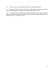18. Why is it there is no scriptural place today for a human priesthood?

19. What do we have in common with the so-called Great Commission, and what is there which is different in these orders from those God has given to us?

20. If a master gives two different sets of orders at different times, which should be obeyed, the first or the last ones given? Which commission did Christ give last, that of Mark 16:15-18 or 2 Corinthians 5:14-21?